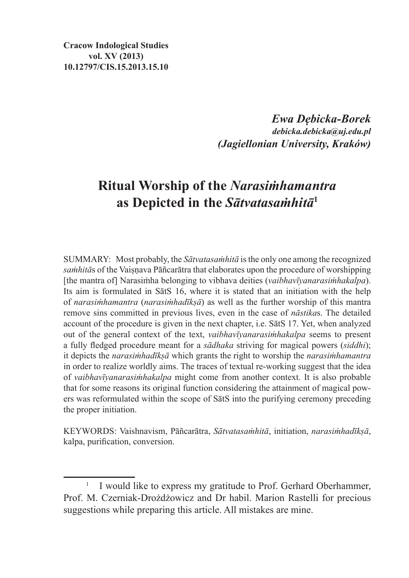**Cracow Indological Studies vol. XV (2013) 10.12797/CIS.15.2013.15.10**

> *Ewa Dębicka-Borek debicka.debicka@uj.edu.pl (Jagiellonian University, Kraków)*

# **Ritual Worship of the** *Narasiṁhamantra*  **as Depicted in the** *Sātvatasaṁhitā***<sup>1</sup>**

SUMMARY: Most probably, the *Sātvatasaṁhitā* isthe only one among the recognized samhitās of the Vaisnava Pāñcarātra that elaborates upon the procedure of worshipping [the mantra of] Narasiṁha belonging to vibhava deities (*vaibhavīyanarasiṁhakalpa*). Its aim is formulated in SātS 16, where it is stated that an initiation with the help of *narasiṁhamantra* (*narasiṁhadīkṣā*) as well as the further worship of this mantra remove sins committed in previous lives, even in the case of *nāstika*s. The detailed account of the procedure is given in the next chapter, i.e. SātS 17. Yet, when analyzed out of the general context of the text, *vaibhavīyanarasiṁhakalpa* seems to present a fully fledged procedure meant for a *sādhaka* striving for magical powers (*siddhi*); it depicts the *narasiṁhadīkṣā* which grants the right to worship the *narasiṁhamantra*  in order to realize worldly aims. The traces of textual re-working suggest that the idea of *vaibhavīyanarasiṁhakalpa* might come from another context. It is also probable that for some reasons its original function considering the attainment of magical powers was reformulated within the scope of SātS into the purifying ceremony preceding the proper initiation.

KEYWORDS: Vaishnavism, Pāñcarātra, *Sātvatasaṁhitā*, initiation, *narasiṁhadīkṣā*, kalpa, purification, conversion.

<sup>1</sup> I would like to express my gratitude to Prof. Gerhard Oberhammer, Prof. M. Czerniak-Drożdżowicz and Dr habil. Marion Rastelli for precious suggestions while preparing this article. All mistakes are mine.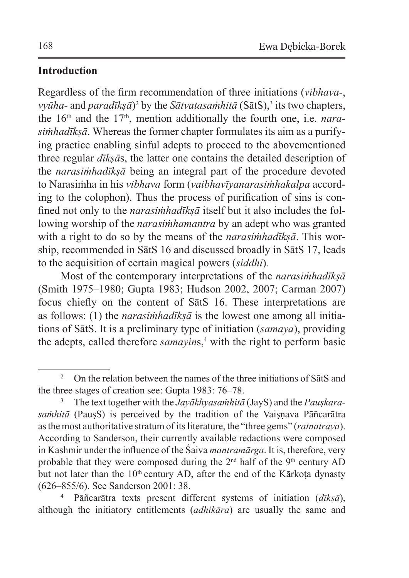### **Introduction**

Regardless of the firm recommendation of three initiations (*vibhava-*, *vyūha-* and *paradīkṣā*)<sup>2</sup> by the *Sātvatasaṁhitā* (SātS),<sup>3</sup> its two chapters, the 16<sup>th</sup> and the 17<sup>th</sup>, mention additionally the fourth one, i.e. *narasiṁhadīkṣā*. Whereas the former chapter formulates its aim as a purifying practice enabling sinful adepts to proceed to the abovementioned three regular *dīkṣā*s, the latter one contains the detailed description of the *narasiṁhadīkṣā* being an integral part of the procedure devoted to Narasiṁha in his *vibhava* form (*vaibhavīyanarasiṁhakalpa* according to the colophon). Thus the process of purification of sins is confined not only to the *narasiṁhadīkṣā* itself but it also includes the following worship of the *narasiṁhamantra* by an adept who was granted with a right to do so by the means of the *narasiṁhadīkṣā*. This worship, recommended in SātS 16 and discussed broadly in SātS 17, leads to the acquisition of certain magical powers (*siddhi*)*.*

Most of the contemporary interpretations of the *narasiṁhadīkṣā* (Smith 1975–1980; Gupta 1983; Hudson 2002, 2007; Carman 2007) focus chiefly on the content of SātS 16. These interpretations are as follows: (1) the *narasiṁhadīkṣā* is the lowest one among all initiations of SātS. It is a preliminary type of initiation (*samaya*), providing the adepts, called therefore *samayin*s,<sup>4</sup> with the right to perform basic

<sup>&</sup>lt;sup>2</sup> On the relation between the names of the three initiations of SatS and the three stages of creation see: Gupta 1983: 76–78.

<sup>&</sup>lt;sup>3</sup> The text together with the *Jayākhyasamhitā* (JayS) and the *Pauskara*samhitā (PausS) is perceived by the tradition of the Vaisnava Pāñcarātra asthe most authoritative stratum of its literature, the "three gems" (*ratnatraya*). According to Sanderson, their currently available redactions were composed in Kashmir under the influence of the Śaiva *mantramārga*. It is, therefore, very probable that they were composed during the  $2<sup>nd</sup>$  half of the  $9<sup>th</sup>$  century AD but not later than the  $10<sup>th</sup>$  century AD, after the end of the Kārkota dynasty (626–855/6). See Sanderson 2001: 38.

<sup>4</sup> Pāñcarātra texts present different systems of initiation (*dīkṣā*), although the initiatory entitlements (*adhikāra*) are usually the same and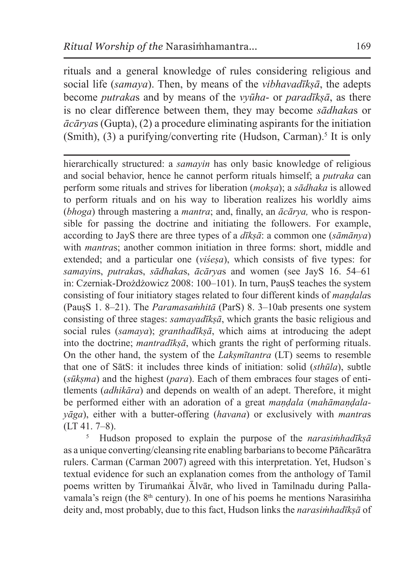rituals and a general knowledge of rules considering religious and social life (*samaya*). Then, by means of the *vibhavadīkṣā*, the adepts become *putraka*s and by means of the *vyūha*- or *paradīkṣā*, as there is no clear difference between them, they may become *sādhaka*s or *ācārya*s (Gupta), (2) a procedure eliminating aspirants for the initiation (Smith),  $(3)$  a purifying/converting rite (Hudson, Carman).<sup>5</sup> It is only

hierarchically structured: a *samayin* has only basic knowledge of religious and social behavior, hence he cannot perform rituals himself; a *putraka* can perform some rituals and strives for liberation (*mokṣa*); a *sādhaka* is allowed to perform rituals and on his way to liberation realizes his worldly aims (*bhoga*) through mastering a *mantra*; and, finally, an *ācārya,* who is responsible for passing the doctrine and initiating the followers. For example, according to JayS there are three types of a *dīkṣā*: a common one (*sāmānya*) with *mantras*; another common initiation in three forms; short, middle and extended; and a particular one (*viśeṣa*), which consists of five types: for *samayin*s, *putraka*s, *sādhaka*s, *ācārya*s and women (see JayS 16. 54–61 in: Czerniak-Drożdżowicz 2008: 100–101). In turn, PausS teaches the system consisting of four initiatory stages related to four different kinds of *maṇḍala*s (PauṣS 1. 8–21). The *Paramasaṁhitā* (ParS) 8. 3–10ab presents one system consisting of three stages: *samayadīkṣā*, which grants the basic religious and social rules (*samaya*); *granthadīkṣā*, which aims at introducing the adept into the doctrine; *mantradīkṣā*, which grants the right of performing rituals. On the other hand, the system of the *Lakṣmītantra* (LT) seems to resemble that one of SātS: it includes three kinds of initiation: solid (*sthūla*), subtle (*sūkṣma*) and the highest (*para*). Each of them embraces four stages of entitlements (*adhikāra*) and depends on wealth of an adept. Therefore, it might be performed either with an adoration of a great *maṇḍala* (*mahāmaṇḍalayāga*), either with a butter-offering (*havana*) or exclusively with *mantra*s (LT 41. 7–8).

<sup>5</sup> Hudson proposed to explain the purpose of the *narasiṁhadīkṣā* as a unique converting/cleansing rite enabling barbarians to become Pāñcarātra rulers. Carman (Carman 2007) agreed with this interpretation. Yet, Hudson`s textual evidence for such an explanation comes from the anthology of Tamil poems written by Tirumaṅkai Ālvār, who lived in Tamilnadu during Pallavamala's reign (the  $8<sup>th</sup>$  century). In one of his poems he mentions Narasimha deity and, most probably, due to this fact, Hudson links the *narasiṁhadīkṣā* of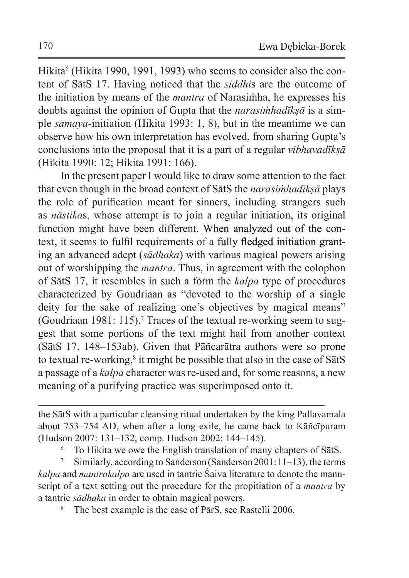Hikita<sup>6</sup> (Hikita 1990, 1991, 1993) who seems to consider also the content of SātS 17. Having noticed that the *siddhi*s are the outcome of the initiation by means of the *mantra* of Narasiṁha, he expresses his doubts against the opinion of Gupta that the *narasiṁhadīkṣā* is a simple *samaya*-initiation (Hikita 1993: 1, 8), but in the meantime we can observe how his own interpretation has evolved, from sharing Gupta's conclusions into the proposal that it is a part of a regular *vibhavadīkṣā* (Hikita 1990: 12; Hikita 1991: 166).

In the present paper I would like to draw some attention to the fact that even though in the broad context of SātS the *narasiṁhadīkṣā* plays the role of purification meant for sinners, including strangers such as *nāstika*s, whose attempt is to join a regular initiation, its original function might have been different. When analyzed out of the context, it seems to fulfil requirements of a fully fledged initiation granting an advanced adept (*sādhaka*) with various magical powers arising out of worshipping the *mantra*. Thus, in agreement with the colophon of SātS 17, it resembles in such a form the *kalpa* type of procedures characterized by Goudriaan as "devoted to the worship of a single deity for the sake of realizing one's objectives by magical means" (Goudriaan 1981: 115). 7 Traces of the textual re-working seem to suggest that some portions of the text might hail from another context (SātS 17. 148–153ab). Given that Pāñcarātra authors were so prone to textual re-working, $\frac{8}{3}$  it might be possible that also in the case of S $\overline{a}$ tS a passage of a *kalpa* character was re-used and, for some reasons, a new meaning of a purifying practice was superimposed onto it.

the SātS with a particular cleansing ritual undertaken by the king Pallavamala about 753–754 AD, when after a long exile, he came back to Kāñcīpuram (Hudson 2007: 131–132, comp. Hudson 2002: 144–145).

<sup>6</sup> To Hikita we owe the English translation of many chapters of SātS.

<sup>7</sup> Similarly, according to Sanderson (Sanderson 2001:11–13), the terms *kalpa* and *mantrakalpa* are used in tantric Śaiva literature to denote the manuscript of a text setting out the procedure for the propitiation of a *mantra* by a tantric *sādhaka* in order to obtain magical powers.

The best example is the case of PārS, see Rastelli 2006.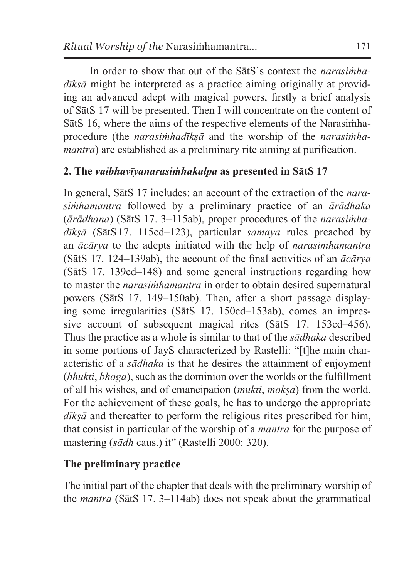In order to show that out of the SātS`s context the *narasiṁhadīksā* might be interpreted as a practice aiming originally at providing an advanced adept with magical powers, firstly a brief analysis of SātS 17 will be presented. Then I will concentrate on the content of SātS 16, where the aims of the respective elements of the Narasiṁhaprocedure (the *narasiṁhadīkṣā* and the worship of the *narasiṁhamantra*) are established as a preliminary rite aiming at purification.

## **2. The** *vaibhavīyanarasiṁhakalpa* **as presented in SātS 17**

In general, SātS 17 includes: an account of the extraction of the *narasiṁhamantra* followed by a preliminary practice of an *ārādhaka* (*ārādhana*) (SātS 17. 3–115ab), proper procedures of the *narasiṁhadīkṣā* (SātS17. 115cd–123), particular *samaya* rules preached by an *ācārya* to the adepts initiated with the help of *narasiṁhamantra* (SātS 17. 124–139ab), the account of the final activities of an *ācārya* (SātS 17. 139cd–148) and some general instructions regarding how to master the *narasiṁhamantra* in order to obtain desired supernatural powers (SātS 17. 149–150ab). Then, after a short passage displaying some irregularities (SātS 17. 150cd–153ab), comes an impressive account of subsequent magical rites (SātS 17. 153cd–456). Thus the practice as a whole is similar to that of the *sādhaka* described in some portions of JayS characterized by Rastelli: "[t]he main characteristic of a *sādhaka* is that he desires the attainment of enjoyment (*bhukti*, *bhoga*), such as the dominion over the worlds or the fulfillment of all his wishes, and of emancipation (*mukti*, *mokṣa*) from the world. For the achievement of these goals, he has to undergo the appropriate *dīkṣā* and thereafter to perform the religious rites prescribed for him, that consist in particular of the worship of a *mantra* for the purpose of mastering (*sādh* caus.) it" (Rastelli 2000: 320).

### **The preliminary practice**

The initial part of the chapter that deals with the preliminary worship of the *mantra* (SātS 17. 3–114ab) does not speak about the grammatical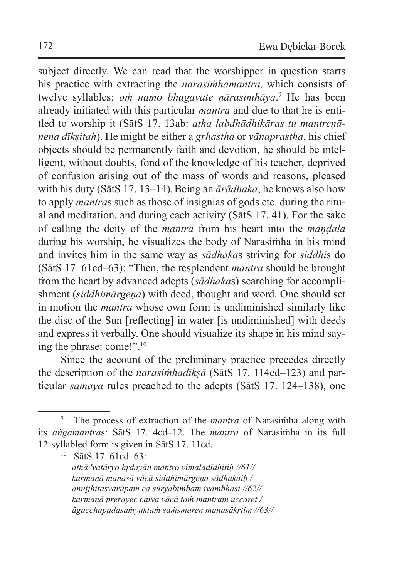subject directly. We can read that the worshipper in question starts his practice with extracting the *narasiṁhamantra,* which consists of twelve syllables: *oṁ namo bhagavate nārasiṁhāya*. <sup>9</sup> He has been already initiated with this particular *mantra* and due to that he is entitled to worship it (SātS 17. 13ab: *atha labdhādhikāras tu mantreṇānena dīkṣitaḥ*). He might be either a *gṛhastha* or *vānaprastha*, his chief objects should be permanently faith and devotion, he should be intelligent, without doubts, fond of the knowledge of his teacher, deprived of confusion arising out of the mass of words and reasons, pleased with his duty (SātS 17. 13–14).Being an *ārādhaka*, he knows also how to apply *mantra*s such as those of insignias of gods etc. during the ritual and meditation, and during each activity (SātS 17. 41). For the sake of calling the deity of the *mantra* from his heart into the *maṇḍala* during his worship, he visualizes the body of Narasiṁha in his mind and invites him in the same way as *sādhaka*s striving for *siddhi*s do (SātS 17. 61cd–63): "Then, the resplendent *mantra* should be brought from the heart by advanced adepts (*sādhaka*s) searching for accomplishment *(siddhimārgena)* with deed, thought and word. One should set in motion the *mantra* whose own form is undiminished similarly like the disc of the Sun [reflecting] in water [is undiminished] with deeds and express it verbally. One should visualize its shape in his mind saying the phrase: come!".<sup>10</sup>

Since the account of the preliminary practice precedes directly the description of the *narasiṁhadīkṣā* (SātS 17. 114cd–123) and particular *samaya* rules preached to the adepts (SātS 17. 124–138), one

<sup>9</sup> The process of extraction of the *mantra* of Narasiṁha along with its *aṅgamantra*s: SātS 17. 4cd–12. The *mantra* of Narasiṁha in its full 12-syllabled form is given in SātS 17. 11cd.

<sup>10</sup> SātS 17. 61cd–63: *athā 'vatāryo hṛdayān mantro vimaladīdhitiḥ //61// karmaṇā manasā vācā siddhimārgeṇa sādhakaiḥ / anujjhitasvarūpaṁ ca sūryabimbam ivāmbhasi //62// karmaṇā prerayec caiva vācā taṁ mantram uccaret / āgacchapadasaṁyuktaṁ saṁsmaren manasākṛtim //63//.*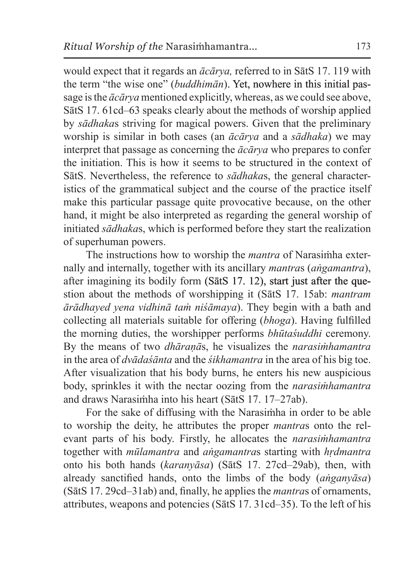would expect that it regards an *ācārya,* referred to in SātS 17. 119 with the term "the wise one" (*buddhimān*). Yet, nowhere in this initial passage isthe *ācārya* mentioned explicitly, whereas, as we could see above, SātS 17. 61cd–63 speaks clearly about the methods of worship applied by *sādhaka*s striving for magical powers. Given that the preliminary worship is similar in both cases (an *ācārya* and a *sādhaka*) we may interpret that passage as concerning the *ācārya* who prepares to confer the initiation. This is how it seems to be structured in the context of SātS. Nevertheless, the reference to *sādhaka*s, the general characteristics of the grammatical subject and the course of the practice itself make this particular passage quite provocative because, on the other hand, it might be also interpreted as regarding the general worship of initiated *sādhaka*s, which is performed before they start the realization of superhuman powers.

The instructions how to worship the *mantra* of Narasiṁha externally and internally, together with its ancillary *mantra*s (*aṅgamantra*), after imagining its bodily form (SātS 17. 12), start just after the question about the methods of worshipping it (SātS 17. 15ab: *mantram ārādhayed yena vidhinā taṁ niśāmaya*). They begin with a bath and collecting all materials suitable for offering (*bhoga*). Having fulfilled the morning duties, the worshipper performs *bhūtaśuddhi* ceremony. By the means of two *dhāraṇā*s, he visualizes the *narasiṁhamantra* in the area of *dvādaśānta* and the *śikhamantra* in the area of his big toe. After visualization that his body burns, he enters his new auspicious body, sprinkles it with the nectar oozing from the *narasiṁhamantra* and draws Narasiṁha into his heart (SātS 17. 17–27ab).

For the sake of diffusing with the Narasiṁha in order to be able to worship the deity, he attributes the proper *mantra*s onto the relevant parts of his body. Firstly, he allocates the *narasiṁhamantra* together with *mūlamantra* and *aṅgamantra*s starting with *hṛdmantra* onto his both hands (*karanyāsa*) (SātS 17. 27cd–29ab), then, with already sanctified hands, onto the limbs of the body (*aṅganyāsa*) (SātS 17. 29cd–31ab) and, finally, he applies the *mantra*s of ornaments, attributes, weapons and potencies (SātS 17. 31cd–35). To the left of his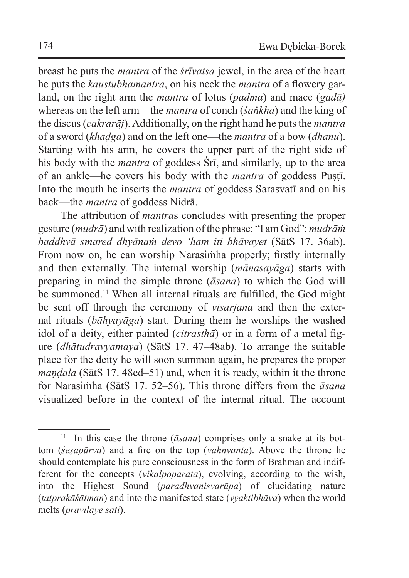breast he puts the *mantra* of the *śrīvatsa* jewel, in the area of the heart he puts the *kaustubhamantra*, on his neck the *mantra* of a flowery garland, on the right arm the *mantra* of lotus (*padma*) and mace (*gadā)* whereas on the left arm—the *mantra* of conch (*śaṅkha*) and the king of the discus (*cakrarāj*). Additionally, on the right hand he puts the *mantra* of a sword (*khaḍga*) and on the left one—the *mantra* of a bow (*dhanu*). Starting with his arm, he covers the upper part of the right side of his body with the *mantra* of goddess Śrī, and similarly, up to the area of an ankle—he covers his body with the *mantra* of goddess Puṣṭī. Into the mouth he inserts the *mantra* of goddess Sarasvatī and on his back—the *mantra* of goddess Nidrā.

The attribution of *mantra*s concludes with presenting the proper gesture (*mudrā*) and with realization of the phrase: "I am God": *mudrāṁ baddhvā smared dhyānaṁ devo 'ham iti bhāvayet* (SātS 17. 36ab). From now on, he can worship Narasiṁha properly; firstly internally and then externally. The internal worship (*mānasayāga*) starts with preparing in mind the simple throne (*āsana*) to which the God will be summoned.<sup>11</sup> When all internal rituals are fulfilled, the God might be sent off through the ceremony of *visarjana* and then the external rituals (*bāhyayāga*) start. During them he worships the washed idol of a deity, either painted (*citrasthā*) or in a form of a metal figure (*dhātudravyamaya*) (SātS 17. 47–48ab). To arrange the suitable place for the deity he will soon summon again, he prepares the proper *maṇḍala* (SātS 17. 48cd–51) and, when it is ready, within it the throne for Narasiṁha (SātS 17. 52–56). This throne differs from the *āsana* visualized before in the context of the internal ritual. The account

<sup>&</sup>lt;sup>11</sup> In this case the throne  $(\bar{a} \sin \alpha)$  comprises only a snake at its bottom (*śeṣapūrva*) and a fire on the top (*vahnyanta*). Above the throne he should contemplate his pure consciousness in the form of Brahman and indifferent for the concepts (*vikalpoparata*), evolving, according to the wish, into the Highest Sound (*paradhvanisvarūpa*) of elucidating nature (*tatprakāśātman*) and into the manifested state (*vyaktibhāva*) when the world melts (*pravilaye sati*).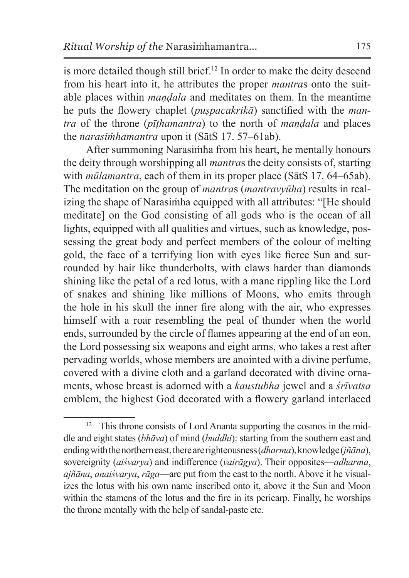is more detailed though still brief.<sup>12</sup> In order to make the deity descend from his heart into it, he attributes the proper *mantra*s onto the suitable places within *maṇḍala* and meditates on them. In the meantime he puts the flowery chaplet (*puṣpacakrikā*) sanctified with the *mantra* of the throne (*pīṭhamantra*) to the north of *maṇḍala* and places the *narasiṁhamantra* upon it (SātS 17. 57–61ab).

After summoning Narasiṁha from his heart, he mentally honours the deity through worshipping all *mantra*s the deity consists of, starting with *mūlamantra*, each of them in its proper place (SātS 17. 64–65ab). The meditation on the group of *mantra*s (*mantravyūha*) results in realizing the shape of Narasiṁha equipped with all attributes: "[He should meditate] on the God consisting of all gods who is the ocean of all lights, equipped with all qualities and virtues, such as knowledge, possessing the great body and perfect members of the colour of melting gold, the face of a terrifying lion with eyes like fierce Sun and surrounded by hair like thunderbolts, with claws harder than diamonds shining like the petal of a red lotus, with a mane rippling like the Lord of snakes and shining like millions of Moons, who emits through the hole in his skull the inner fire along with the air, who expresses himself with a roar resembling the peal of thunder when the world ends, surrounded by the circle of flames appearing at the end of an eon, the Lord possessing six weapons and eight arms, who takes a rest after pervading worlds, whose members are anointed with a divine perfume, covered with a divine cloth and a garland decorated with divine ornaments, whose breast is adorned with a *kaustubha* jewel and a *śrīvatsa* emblem, the highest God decorated with a flowery garland interlaced

<sup>&</sup>lt;sup>12</sup> This throne consists of Lord Ananta supporting the cosmos in the middle and eight states (*bhāva*) of mind (*buddhi*): starting from the southern east and ending with thenorthern east, there are righteousness (*dharma*), knowledge (*jñāna*), sovereignity (*aiśvarya*) and indifference (*vairāgya*). Their opposites—*adharma*, *ajñāna*, *anaiśvarya*, *rāga*—are put from the east to the north. Above it he visualizes the lotus with his own name inscribed onto it, above it the Sun and Moon within the stamens of the lotus and the fire in its pericarp. Finally, he worships the throne mentally with the help of sandal-paste etc.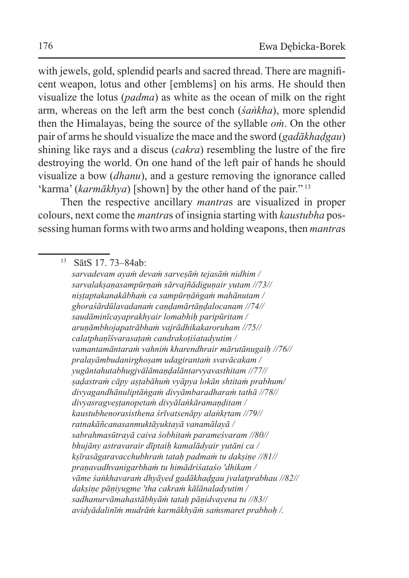with jewels, gold, splendid pearls and sacred thread. There are magnificent weapon, lotus and other [emblems] on his arms. He should then visualize the lotus (*padma*) as white as the ocean of milk on the right arm, whereas on the left arm the best conch (*śaṅkha*), more splendid then the Himalayas, being the source of the syllable *oṁ*. On the other pair of arms he should visualize the mace and the sword (*gadākhaḍgau*) shining like rays and a discus (*cakra*) resembling the lustre of the fire destroying the world. On one hand of the left pair of hands he should visualize a bow (*dhanu*), and a gesture removing the ignorance called 'karma' (*karmākhya*) [shown] by the other hand of the pair."<sup>13</sup>

Then the respective ancillary *mantra*s are visualized in proper colours, next come the *mantra*s of insignia starting with *kaustubha* possessing human forms with two arms and holding weapons, then *mantra*s

<sup>13</sup> SātS 17. 73–84ab:

*sarvadevam ayaṁ devaṁ sarveṣāṁ tejasāṁ nidhim / sarvalakṣaṇasampūrṇaṁ sārvajñādiguṇair yutam //73// niṣṭaptakanakābhaṁ ca sampūrṇāṅgaṁ mahānutam / ghoraśārdūlavadanaṁ caṇḍamārtāṇḍalocanam //74// saudāminīcayaprakhyair lomabhiḥ paripūritam / aruṇāmbhojapatrābhaṁ vajrādhikakaroruham //75// calatphaṇīśvarasaṭaṁ candrakoṭiśatadyutim / vamantamāntaraṁ vahniṁ kharendhrair mārutānugaiḥ //76// pralayāmbudanirghoṣam udagirantaṁ svavācakam / yugāntahutabhugjvālāmaṇḍalāntarvyavasthitam //77// ṣaḍastraṁ cāpy aṣṭabāhuṁ vyāpya lokān shtitaṁ prabhum/ divyagandhānuliptāṅgaṁ divyāmbaradharaṁ tathā //78// divyasragveṣṭanopetaṁ divyālaṅkāramaṇḍitam / kaustubhenorasisthena śrīvatsenāpy alaṅkṛtam //79// ratnakāñcanasanmuktāyuktayā vanamālayā / sabrahmasūtrayā caiva śobhitaṁ parameśvaram //80// bhujāny astravarair dīptaiḥ kamalādyair yutāni ca / kṣīrasāgaravacchubhraṁ tataḥ padmaṁ tu dakṣiṇe //81// praṇavadhvanigarbhaṁ tu himādriśataśo 'dhikam / vāme śaṅkhavaraṁ dhyāyed gadākhaḍgau jvalatprabhau //82// dakṣiṇe pāṇiyugme 'tha cakraṁ kālānaladyutim / sadhanurvāmahastābhyāṁ tataḥ pāṇidvayena tu //83// avidyādalinīṁ mudrāṁ karmākhyāṁ saṁsmaret prabhoḥ /.*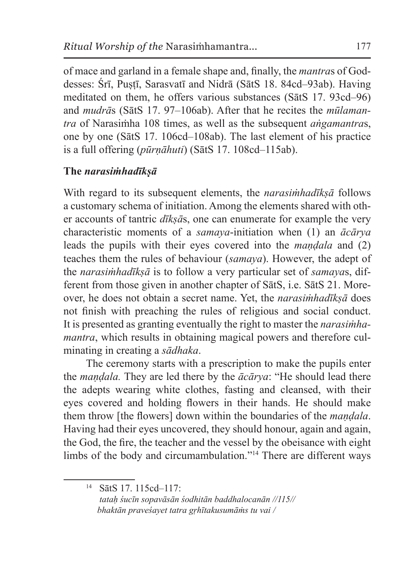of mace and garland in a female shape and, finally, the *mantra*s of Goddesses: Śrī, Puṣṭī, Sarasvatī and Nidrā (SātS 18. 84cd–93ab). Having meditated on them, he offers various substances (SātS 17. 93cd–96) and *mudrā*s (SātS 17. 97–106ab). After that he recites the *mūlamantra* of Narasiṁha 108 times, as well as the subsequent *aṅgamantra*s, one by one (SātS 17. 106cd–108ab). The last element of his practice is a full offering (*pūrṇāhuti*) (SātS 17. 108cd–115ab).

# **The** *narasiṁhadīkṣā*

With regard to its subsequent elements, the *narasiṁhadīkṣā* follows a customary schema of initiation. Among the elements shared with other accounts of tantric *dīkṣā*s, one can enumerate for example the very characteristic moments of a *samaya*-initiation when (1) an *ācārya* leads the pupils with their eyes covered into the *maṇḍala* and (2) teaches them the rules of behaviour (*samaya*). However, the adept of the *narasiṁhadīkṣā* is to follow a very particular set of *samaya*s, different from those given in another chapter of SātS, i.e. SātS 21. Moreover, he does not obtain a secret name. Yet, the *narasiṁhadīkṣā* does not finish with preaching the rules of religious and social conduct. It is presented as granting eventually the right to master the *narasiṁhamantra*, which results in obtaining magical powers and therefore culminating in creating a *sādhaka*.

The ceremony starts with a prescription to make the pupils enter the *maṇḍala.* They are led there by the *ācārya*: "He should lead there the adepts wearing white clothes, fasting and cleansed, with their eyes covered and holding flowers in their hands. He should make them throw [the flowers] down within the boundaries of the *maṇḍala*. Having had their eyes uncovered, they should honour, again and again, the God, the fire, the teacher and the vessel by the obeisance with eight limbs of the body and circumambulation."<sup>14</sup> There are different ways

<sup>14</sup> SātS 17. 115cd–117:  *tataḥ śucīn sopavāsān śodhitān baddhalocanān //115// bhaktān praveśayet tatra gṛhītakusumāṁs tu vai /*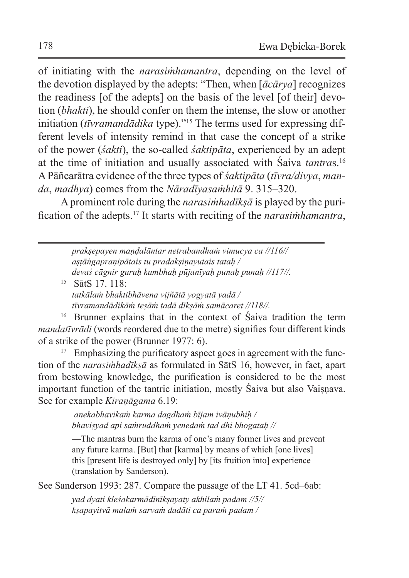of initiating with the *narasiṁhamantra*, depending on the level of the devotion displayed by the adepts: "Then, when [*ācārya*] recognizes the readiness [of the adepts] on the basis of the level [of their] devotion (*bhakti*), he should confer on them the intense, the slow or another initiation (*tīvramandādika* type)."<sup>15</sup> The terms used for expressing different levels of intensity remind in that case the concept of a strike of the power (*śakti*), the so-called *śaktipāta*, experienced by an adept at the time of initiation and usually associated with Śaiva *tantra*s.<sup>16</sup> A Pāñcarātra evidence of the three types of *śaktipāta* (*tīvra/divya*, *manda*, *madhya*) comes from the *Nāradīyasaṁhitā* 9. 315–320.

Aprominent role during the *narasiṁhadīkṣā* is played by the purification of the adepts.<sup>17</sup> It starts with reciting of the *narasiṁhamantra*,

*prakṣepayen maṇḍalāntar netrabandhaṁ vimucya ca //116// aṣṭāṅgapraṇipātais tu pradakṣiṇayutais tataḥ / devaś cāgnir guruḥ kumbhaḥ pūjanīyaḥ punaḥ punaḥ //117//.* <sup>15</sup> SātS 17. 118: *tatkālaṁ bhaktibhāvena vijñātā yogyatā yadā /*

*tīvramandādikāṁ teṣāṁ tadā dīkṣāṁ samācaret //118//.* 

<sup>16</sup> Brunner explains that in the context of Śaiva tradition the term *mandatīvrādi* (words reordered due to the metre) signifies four different kinds of a strike of the power (Brunner 1977: 6).

<sup>17</sup> Emphasizing the purificatory aspect goes in agreement with the function of the *narasiṁhadīkṣā* as formulated in SātS 16, however, in fact, apart from bestowing knowledge, the purification is considered to be the most important function of the tantric initiation, mostly Śaiva but also Vaiṣṇava. See for example *Kiraṇāgama* 6.19:

> *anekabhavikaṁ karma dagdhaṁ bījam ivāṇubhiḥ / bhaviṣyad api saṁruddhaṁ yenedaṁ tad dhi bhogataḥ //*

—The mantras burn the karma of one's many former lives and prevent any future karma. [But] that [karma] by means of which [one lives] this [present life is destroyed only] by [its fruition into] experience (translation by Sanderson).

See Sanderson 1993: 287. Compare the passage of the LT 41. 5cd–6ab:

*yad dyati kleśakarmādīnīkṣayaty akhilaṁ padam //5// kṣapayitvā malaṁ sarvaṁ dadāti ca paraṁ padam /*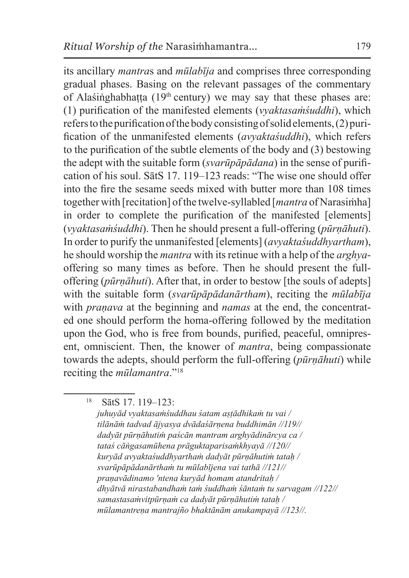its ancillary *mantra*s and *mūlabīja* and comprises three corresponding gradual phases. Basing on the relevant passages of the commentary of Alaśinghabhatta (19<sup>th</sup> century) we may say that these phases are: (1) purification of the manifested elements (*vyaktasaṁśuddhi*), which refers to the purification of the body consisting of solid elements,  $(2)$  purification of the unmanifested elements (*avyaktaśuddhi*), which refers to the purification of the subtle elements of the body and (3) bestowing the adept with the suitable form (*svarūpāpādana*) in the sense of purification of his soul. SātS 17. 119–123 reads: "The wise one should offer into the fire the sesame seeds mixed with butter more than 108 times together with [recitation] of the twelve-syllabled [*mantra* of Narasiṁha] in order to complete the purification of the manifested [elements] (*vyaktasaṁśuddhi*). Then he should present a full-offering (*pūrṇāhuti*). In order to purify the unmanifested [elements] (*avyaktaśuddhyartham*), he should worship the *mantra* with its retinue with a help of the *arghya*offering so many times as before. Then he should present the fulloffering (*pūrṇāhuti*). After that, in order to bestow [the souls of adepts] with the suitable form (*svarūpāpādanārtham*), reciting the *mūlabīja* with *praṇava* at the beginning and *namas* at the end, the concentrated one should perform the homa-offering followed by the meditation upon the God, who is free from bounds, purified, peaceful, omnipresent, omniscient. Then, the knower of *mantra*, being compassionate towards the adepts, should perform the full-offering (*pūrṇāhuti*) while reciting the *mūlamantra*."<sup>18</sup>

<sup>18</sup> SātS 17. 119–123:

*juhuyād vyaktasaṁśuddhau śatam aṣṭādhikaṁ tu vai / tilānāṁ tadvad ājyasya dvādaśārṇena buddhimān //119// dadyāt pūrṇāhutiṁ paścān mantram arghyādinārcya ca / tataś cāṅgasamūhena prāguktaparisaṁkhyayā //120// kuryād avyaktaśuddhyarthaṁ dadyāt pūrṇāhutiṁ tataḥ / svarūpāpādanārthaṁ tu mūlabījena vai tathā //121// praṇavādinamo 'ntena kuryād homam atandritaḥ / dhyātvā nirastabandhaṁ taṁ śuddhaṁ śāntaṁ tu sarvagam //122// samastasaṁvitpūrṇaṁ ca dadyāt pūrṇāhutiṁ tataḥ / mūlamantreṇa mantrajño bhaktānām anukampayā //123//.*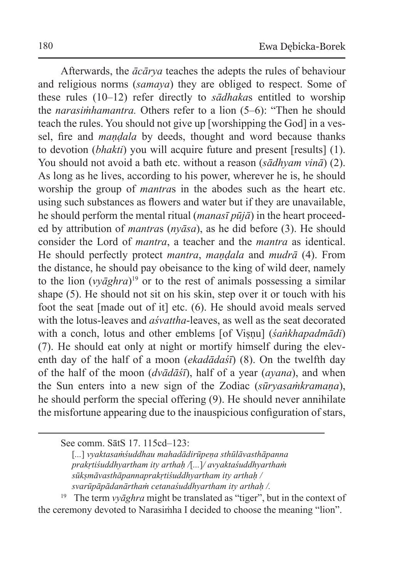Afterwards, the *ācārya* teaches the adepts the rules of behaviour and religious norms (*samaya*) they are obliged to respect. Some of these rules (10–12) refer directly to *sādhaka*s entitled to worship the *narasiṁhamantra.* Others refer to a lion (5–6): "Then he should teach the rules. You should not give up [worshipping the God] in a vessel, fire and *maṇḍala* by deeds, thought and word because thanks to devotion (*bhakti*) you will acquire future and present [results] (1). You should not avoid a bath etc. without a reason (*sādhyam vinā*) (2). As long as he lives, according to his power, wherever he is, he should worship the group of *mantra*s in the abodes such as the heart etc. using such substances as flowers and water but if they are unavailable, he should perform the mental ritual (*manasī pūjā*) in the heart proceeded by attribution of *mantra*s (*nyāsa*), as he did before (3). He should consider the Lord of *mantra*, a teacher and the *mantra* as identical. He should perfectly protect *mantra*, *maṇḍala* and *mudrā* (4). From the distance, he should pay obeisance to the king of wild deer, namely to the lion (*vyāghra*)<sup>19</sup> or to the rest of animals possessing a similar shape (5). He should not sit on his skin, step over it or touch with his foot the seat [made out of it] etc. (6). He should avoid meals served with the lotus-leaves and *aśvattha*-leaves, as well as the seat decorated with a conch, lotus and other emblems [of Viṣṇu] (*śaṅkhapadmādi*) (7). He should eat only at night or mortify himself during the eleventh day of the half of a moon (*ekadādaśī*) (8). On the twelfth day of the half of the moon (*dvādāśī*), half of a year (*ayana*), and when the Sun enters into a new sign of the Zodiac (*sūryasaṁkramaṇa*), he should perform the special offering (9). He should never annihilate the misfortune appearing due to the inauspicious configuration of stars,

<sup>19</sup> The term *vyāghra* might be translated as "tiger", but in the context of the ceremony devoted to Narasiṁha I decided to choose the meaning "lion".

See comm. SātS 17. 115cd–123:

<sup>[</sup>*...*] *vyaktasaṁśuddhau mahadādirūpeṇa sthūlāvasthāpanna prakṛtiśuddhyartham ity arthaḥ /*[*...*]*/ avyaktaśuddhyarthaṁ sūkṣmāvasthāpannaprakṛtiśuddhyartham ity arthaḥ / svarūpāpādanārthaṁ cetanaśuddhyartham ity arthaḥ /.*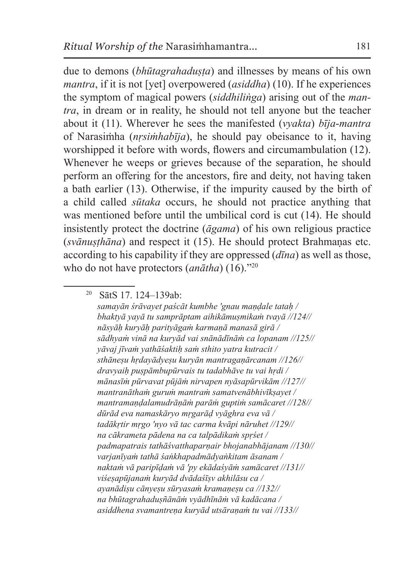due to demons *(bhūtagrahadusta)* and illnesses by means of his own *mantra*, if it is not [vet] overpowered *(asiddha)* (10). If he experiences the symptom of magical powers (*siddhiliṅga*) arising out of the *mantra*, in dream or in reality, he should not tell anyone but the teacher about it (11). Wherever he sees the manifested (*vyakta*) *bīja*-*mantra* of Narasiṁha (*nṛsiṁhabīja*), he should pay obeisance to it, having worshipped it before with words, flowers and circumambulation (12). Whenever he weeps or grieves because of the separation, he should perform an offering for the ancestors, fire and deity, not having taken a bath earlier (13). Otherwise, if the impurity caused by the birth of a child called *sūtaka* occurs, he should not practice anything that was mentioned before until the umbilical cord is cut (14). He should insistently protect the doctrine (*āgama*) of his own religious practice (*svānuṣṭhāna*) and respect it (15). He should protect Brahmaṇas etc. according to his capability if they are oppressed (*dīna*) as well as those, who do not have protectors (*anātha*) (16)."<sup>20</sup>

<sup>20</sup> SātS 17. 124–139ab:

*samayān śrāvayet paścāt kumbhe 'gnau maṇḍale tataḥ / bhaktyā yayā tu samprāptam aihikāmuṣmikaṁ tvayā //124// nāsyāḥ kuryāḥ parityāgaṁ karmaṇā manasā girā / sādhyaṁ vinā na kuryād vai snānādīnāṁ ca lopanam //125// yāvaj jīvaṁ yathāśaktiḥ saṁ sthito yatra kutracit / sthāneṣu hṛdayādyeṣu kuryān mantragaṇārcanam //126// dravyaiḥ puṣpāmbupūrvais tu tadabhāve tu vai hṛdi / mānasīṁ pūrvavat pūjāṁ nirvapen nyāsapūrvikām //127// mantranāthaṁ guruṁ mantraṁ samatvenābhivīkṣayet / mantramaṇḍalamudrāṇāṁ parāṁ guptiṁ samācaret //128// dūrād eva namaskāryo mṛgarāḍ vyāghra eva vā / tadākṛtir mṛgo 'nyo vā tac carma kvāpi nāruhet //129// na cākrameta pādena na ca talpādikaṁ spṛśet / padmapatrais tathāśvatthaparṇair bhojanabhājanam //130// varjanīyaṁ tathā śaṅkhapadmādyaṅkitam āsanam / naktaṁ vā paripīḍaṁ vā 'py ekādaśyāṁ samācaret //131// viśeṣapūjanaṁ kuryād dvādaśīṣv akhilāsu ca / ayanādiṣu cānyeṣu sūryasaṁ kramaṇeṣu ca //132// na bhūtagrahaduṣñānāṁ vyādhīnāṁ vā kadācana / asiddhena svamantreṇa kuryād utsāraṇaṁ tu vai //133//*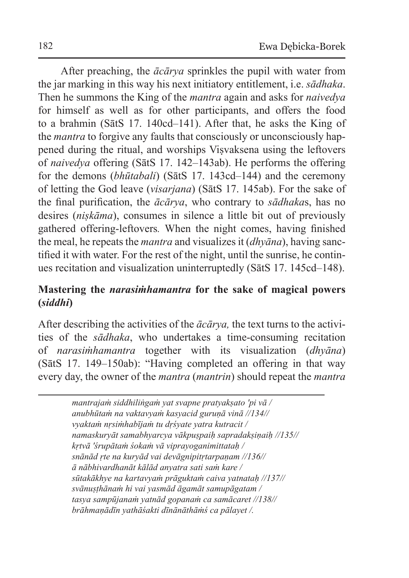After preaching, the *ācārya* sprinkles the pupil with water from the jar marking in this way his next initiatory entitlement, i.e. *sādhaka*. Then he summons the King of the *mantra* again and asks for *naivedya* for himself as well as for other participants, and offers the food to a brahmin (SātS 17. 140cd–141). After that, he asks the King of the *mantra* to forgive any faults that consciously or unconsciously happened during the ritual, and worships Viṣvaksena using the leftovers of *naivedya* offering (SātS 17. 142–143ab). He performs the offering for the demons (*bhūtabali*) (SātS 17. 143cd–144) and the ceremony of letting the God leave (*visarjana*) (SātS 17. 145ab). For the sake of the final purification, the *ācārya*, who contrary to *sādhaka*s, has no desires (*niṣkāma*), consumes in silence a little bit out of previously gathered offering-leftovers*.* When the night comes, having finished the meal, he repeats the *mantra* and visualizes it (*dhyāna*), having sanctified it with water. For the rest of the night, until the sunrise, he continues recitation and visualization uninterruptedly (SātS 17. 145cd–148).

### **Mastering the** *narasiṁhamantra* **for the sake of magical powers (***siddhi***)**

After describing the activities of the *ācārya,* the text turns to the activities of the *sādhaka*, who undertakes a time-consuming recitation of *narasiṁhamantra* together with its visualization (*dhyāna*) (SātS 17. 149–150ab): "Having completed an offering in that way every day, the owner of the *mantra* (*mantrin*) should repeat the *mantra*

> *mantrajaṁ siddhiliṅgaṁ yat svapne pratyakṣato 'pi vā / anubhūtaṁ na vaktavyaṁ kasyacid guruṇā vinā //134// vyaktaṁ nṛsiṁhabījaṁ tu dṛśyate yatra kutracit / namaskuryāt samabhyarcya vākpuṣpaiḥ sapradakṣiṇaiḥ //135// kṛtvā 'śrupātaṁ śokaṁ vā viprayoganimittataḥ / snānād ṛte na kuryād vai devāgnipitṛtarpaṇam //136// ā nābhivardhanāt kālād anyatra sati saṁ kare / sūtakākhye na kartavyaṁ prāguktaṁ caiva yatnataḥ //137// svānuṣṭhānaṁ hi vai yasmād āgamāt samupāgatam / tasya sampūjanaṁ yatnād gopanaṁ ca samācaret //138// brāhmaṇādīn yathāśakti dīnānāthāṁś ca pālayet /.*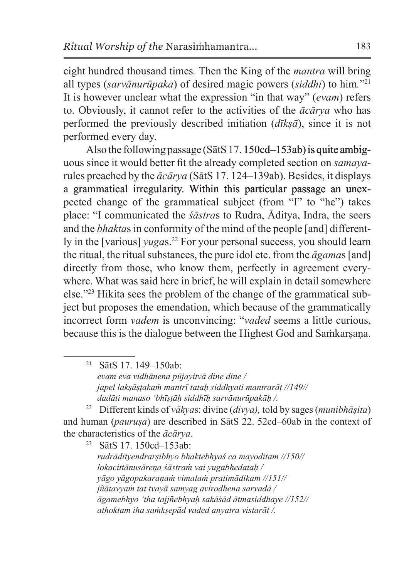eight hundred thousand times*.* Then the King of the *mantra* will bring all types (*sarvānurūpaka*) of desired magic powers (*siddhi*) to him*.*"21 It is however unclear what the expression "in that way" (*evam*) refers to. Obviously, it cannot refer to the activities of the *ācārya* who has performed the previously described initiation (*dīkṣā*), since it is not performed every day.

Also the following passage (SātS 17. 150cd–153ab) is quite ambiguous since it would better fit the already completed section on *samaya*rules preached by the *ācārya* (SātS 17. 124–139ab). Besides, it displays a grammatical irregularity. Within this particular passage an unexpected change of the grammatical subject (from "I" to "he") takes place: "I communicated the *śāstra*s to Rudra, Āditya, Indra, the seers and the *bhakta*s in conformity of the mind of the people [and] differently in the [various] *yuga*s.<sup>22</sup> For your personal success, you should learn the ritual, the ritual substances, the pure idol etc. from the *āgama*s [and] directly from those, who know them, perfectly in agreement everywhere. What was said here in brief, he will explain in detail somewhere else."<sup>23</sup> Hikita sees the problem of the change of the grammatical subject but proposes the emendation, which because of the grammatically incorrect form *vadem* is unconvincing: "*vaded* seems a little curious, because this is the dialogue between the Highest God and Saṁkarsana.

<sup>21</sup> SātS 17. 149–150ab: *evam eva vidhānena pūjayitvā dine dine / japel lakṣāṣṭakaṁ mantrī tataḥ siddhyati mantrarāṭ //149// dadāti manaso 'bhīṣṭāḥ siddhīḥ sarvānurūpakāḥ /.* 

<sup>22</sup> Different kinds of *vākya*s: divine (*divya),* told by sages(*munibhāṣita*) and human (*pauruṣa*) are described in SātS 22. 52cd–60ab in the context of the characteristics of the  $\bar{a}c\bar{a}rya$ .<br><sup>23</sup> S<sub>9</sub>tS 17, 150cd-153ab:

<sup>23</sup> SātS 17. 150cd–153ab:

*rudrādityendrarṣibhyo bhaktebhyaś ca mayoditam //150// lokacittānusāreṇa śāstraṁ vai yugabhedataḥ / yāgo yāgopakaraṇaṁ vimalaṁ pratimādikam //151// jñātavyaṁ tat tvayā samyag avirodhena sarvadā / āgamebhyo 'tha tajjñebhyaḥ sakāśād ātmasiddhaye //152// athoktam iha saṁkṣepād vaded anyatra vistarāt /.*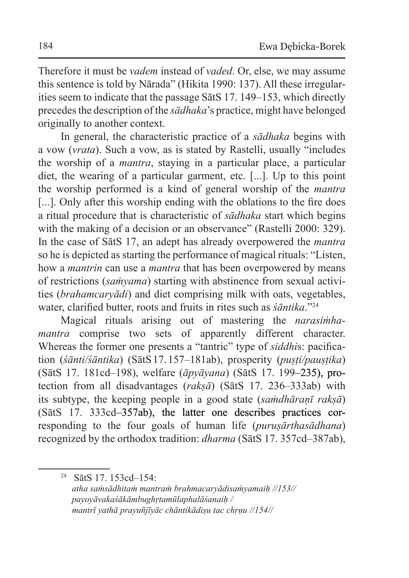Therefore it must be *vadem* instead of *vaded*. Or, else, we may assume this sentence is told by Nārada" (Hikita 1990: 137). All these irregularities seem to indicate that the passage SātS 17. 149–153, which directly precedes the description of the *sādhaka*'s practice, might have belonged originally to another context.

In general, the characteristic practice of a *sādhaka* begins with a vow (*vrata*). Such a vow, as is stated by Rastelli, usually "includes the worship of a *mantra*, staying in a particular place, a particular diet, the wearing of a particular garment, etc. [...]. Up to this point the worship performed is a kind of general worship of the *mantra* [...]. Only after this worship ending with the oblations to the fire does a ritual procedure that is characteristic of *sādhaka* start which begins with the making of a decision or an observance" (Rastelli 2000: 329). In the case of SātS 17, an adept has already overpowered the *mantra* so he is depicted as starting the performance of magical rituals: "Listen, how a *mantrin* can use a *mantra* that has been overpowered by means of restrictions (*saṁyama*) starting with abstinence from sexual activities (*brahamcaryādi*) and diet comprising milk with oats, vegetables, water, clarified butter, roots and fruits in rites such as *śāntika*."<sup>24</sup>

Magical rituals arising out of mastering the *narasiṁhamantra* comprise two sets of apparently different character. Whereas the former one presents a "tantric" type of *siddhi*s: pacification (*śānti/śāntika*) (SātS17. 157–181ab), prosperity (*puṣṭi/pauṣṭika*) (SātS 17. 181cd–198), welfare (*āpyāyana*) (SātS 17. 199–235), protection from all disadvantages (*rakṣā*) (SātS 17. 236–333ab) with its subtype, the keeping people in a good state (*saṁdhāraṇī rakṣā*) (SātS 17. 333cd–357ab), the latter one describes practices corresponding to the four goals of human life (*puruṣārthasādhana*) recognized by the orthodox tradition: *dharma* (SātS 17. 357cd–387ab),

<sup>24</sup> SātS 17. 153cd–154:

*atha saṁsādhitaṁ mantraṁ brahmacaryādisaṁyamaiḥ //153// payoyāvakaśākāmbughṛtamūlaphalāśanaiḥ / mantrī yathā prayuñjīyāc chāntikādiṣu tac chṛṇu //154//*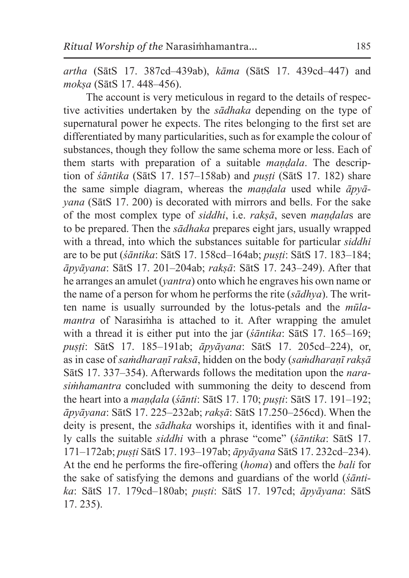*artha* (SātS 17. 387cd–439ab), *kāma* (SātS 17. 439cd–447) and *mokṣa* (SātS 17. 448–456).

The account is very meticulous in regard to the details of respective activities undertaken by the *sādhaka* depending on the type of supernatural power he expects. The rites belonging to the first set are differentiated by many particularities, such as for example the colour of substances, though they follow the same schema more or less. Each of them starts with preparation of a suitable *maṇḍala*. The description of *śāntika* (SātS 17. 157–158ab) and *puṣṭi* (SātS 17. 182) share the same simple diagram, whereas the *maṇḍala* used while *āpyāyana* (SātS 17. 200) is decorated with mirrors and bells. For the sake of the most complex type of *siddhi*, i.e. *rakṣā*, seven *maṇḍala*s are to be prepared. Then the *sādhaka* prepares eight jars, usually wrapped with a thread, into which the substances suitable for particular *siddhi* are to be put (*śāntika*: SātS 17. 158cd–164ab; *puṣṭi*: SātS 17. 183–184; *āpyāyana*: SātS 17. 201–204ab; *rakṣā*: SātS 17. 243–249). After that he arranges an amulet (*yantra*) onto which he engraves his own name or the name of a person for whom he performs the rite (*sādhya*). The written name is usually surrounded by the lotus-petals and the *mūlamantra* of Narasimha is attached to it. After wrapping the amulet with a thread it is either put into the jar ( $\frac{\xi}{a}$ *ntika*: SatS 17. 165–169; *puṣṭi*: SātS 17. 185–191ab; *āpyāyana*: SātS 17. 205cd–224), or, as in case of *saṁdharaṇī raksā*, hidden on the body (*saṁdharaṇī rakṣā* SātS 17. 337–354). Afterwards follows the meditation upon the *narasiṁhamantra* concluded with summoning the deity to descend from the heart into a *maṇḍala* (*śānti*: SātS 17. 170; *puṣṭi*: SātS 17. 191–192; *āpyāyana*: SātS 17. 225–232ab; *rakṣā*: SātS 17.250–256cd). When the deity is present, the *sādhaka* worships it, identifies with it and finally calls the suitable *siddhi* with a phrase "come" (*śāntika*: SātS 17. 171–172ab; *puṣṭi* SātS 17. 193–197ab; *āpyāyana* SātS 17. 232cd–234). At the end he performs the fire-offering (*homa*) and offers the *bali* for the sake of satisfying the demons and guardians of the world (*śāntika*: SātS 17. 179cd–180ab; *puṣti*: SātS 17. 197cd; *āpyāyana*: SātS 17. 235).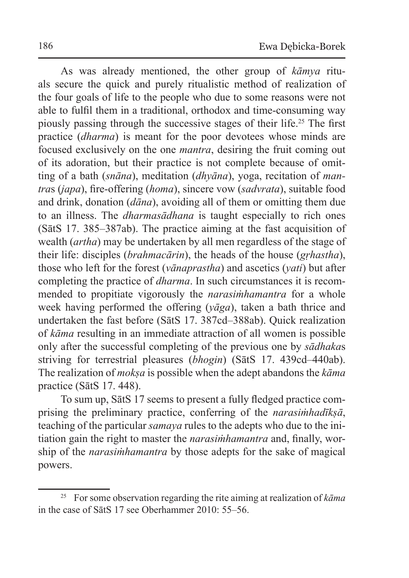As was already mentioned, the other group of *kāmya* rituals secure the quick and purely ritualistic method of realization of the four goals of life to the people who due to some reasons were not able to fulfil them in a traditional, orthodox and time-consuming way piously passing through the successive stages of their life.<sup>25</sup> The first practice (*dharma*) is meant for the poor devotees whose minds are focused exclusively on the one *mantra*, desiring the fruit coming out of its adoration, but their practice is not complete because of omitting of a bath (*snāna*), meditation (*dhyāna*), yoga, recitation of *mantra*s (*japa*), fire-offering (*homa*), sincere vow (*sadvrata*), suitable food and drink, donation (*dāna*), avoiding all of them or omitting them due to an illness. The *dharmasādhana* is taught especially to rich ones (SātS 17. 385–387ab). The practice aiming at the fast acquisition of wealth (*artha*) may be undertaken by all men regardless of the stage of their life: disciples (*brahmacārin*), the heads of the house (*gṛhastha*), those who left for the forest (*vānaprastha*) and ascetics (*yati*) but after completing the practice of *dharma*. In such circumstances it is recommended to propitiate vigorously the *narasiṁhamantra* for a whole week having performed the offering (*yāga*), taken a bath thrice and undertaken the fast before (SātS 17. 387cd–388ab). Quick realization of *kāma* resulting in an immediate attraction of all women is possible only after the successful completing of the previous one by *sādhaka*s striving for terrestrial pleasures (*bhogin*) (SātS 17. 439cd–440ab). The realization of *mokṣa* is possible when the adept abandons the *kāma*  practice (SātS 17. 448).

To sum up, SātS 17 seems to present a fully fledged practice comprising the preliminary practice, conferring of the *narasiṁhadīkṣā*, teaching of the particular *samaya* rules to the adepts who due to the initiation gain the right to master the *narasiṁhamantra* and, finally, worship of the *narasiṁhamantra* by those adepts for the sake of magical powers.

<sup>25</sup> For some observation regarding the rite aiming at realization of *kāma* in the case of SātS 17 see Oberhammer 2010: 55–56.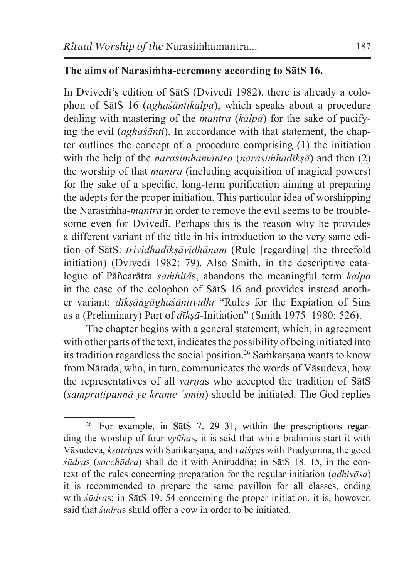### **The aims of Narasiṁha-ceremony according to SātS 16.**

In Dvivedī's edition of SātS (Dvivedī 1982), there is already a colophon of SātS 16 (*aghaśāntikalpa*), which speaks about a procedure dealing with mastering of the *mantra* (*kalpa*) for the sake of pacifying the evil (*aghaśānti*). In accordance with that statement, the chapter outlines the concept of a procedure comprising (1) the initiation with the help of the *narasiṁhamantra* (*narasiṁhadīkṣā*) and then (2) the worship of that *mantra* (including acquisition of magical powers) for the sake of a specific, long-term purification aiming at preparing the adepts for the proper initiation. This particular idea of worshipping the Narasiṁha-*mantra* in order to remove the evil seems to be troublesome even for Dvivedī. Perhaps this is the reason why he provides a different variant of the title in his introduction to the very same edition of SātS: *trividhadīkṣāvidhānam* (Rule [regarding] the threefold initiation) (Dvivedī 1982: 79). Also Smith, in the descriptive catalogue of Pāñcarātra *saṁhitā*s, abandons the meaningful term *kalpa* in the case of the colophon of SātS 16 and provides instead another variant: *dīkṣāṅgāghaśāntividhi* "Rules for the Expiation of Sins as a (Preliminary) Part of *dīkṣā*-Initiation" (Smith 1975–1980: 526).

The chapter begins with a general statement, which, in agreement with other parts of the text, indicates the possibility of being initiated into its tradition regardless the social position.<sup>26</sup> Saṁkarṣaṇa wants to know from Nārada, who, in turn, communicates the words of Vāsudeva, how the representatives of all *varṇa*s who accepted the tradition of SātS (*sampratipannā ye krame 'smin*) should be initiated. The God replies

<sup>26</sup> For example, in SātS 7. 29–31, within the prescriptions regarding the worship of four *vyūha*s, it is said that while brahmins start it with Vāsudeva, *kṣatriya*s with Saṁkarṣaṇa, and *vaiśya*s with Pradyumna, the good *śūdra*s (*sacchūdra*) shall do it with Aniruddha; in SātS 18. 15, in the context of the rules concerning preparation for the regular initiation (*adhivāsa*) it is recommended to prepare the same pavillon for all classes, ending with *śūdras*; in SātS 19. 54 concerning the proper initiation, it is, however, said that *śūdra*s shuld offer a cow in order to be initiated.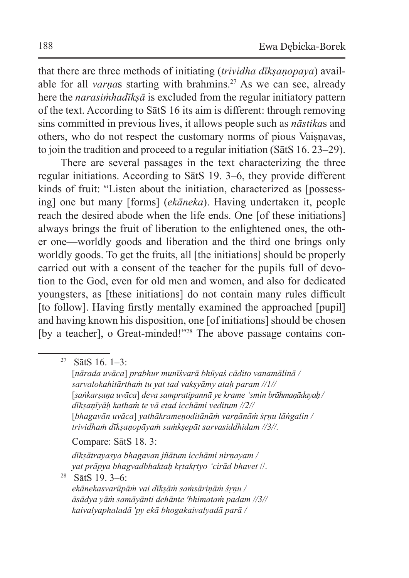that there are three methods of initiating (*trividha dīkṣaṇopaya*) available for all *varnas* starting with brahmins.<sup>27</sup> As we can see, already here the *narasiṁhadīkṣā* is excluded from the regular initiatory pattern of the text. According to SātS 16 its aim is different: through removing sins committed in previous lives, it allows people such as *nāstika*s and others, who do not respect the customary norms of pious Vaisnavas, to join the tradition and proceed to a regular initiation (SātS 16. 23–29).

There are several passages in the text characterizing the three regular initiations. According to SātS 19. 3–6, they provide different kinds of fruit: "Listen about the initiation, characterized as [possessing] one but many [forms] (*ekāneka*). Having undertaken it, people reach the desired abode when the life ends. One [of these initiations] always brings the fruit of liberation to the enlightened ones, the other one—worldly goods and liberation and the third one brings only worldly goods. To get the fruits, all [the initiations] should be properly carried out with a consent of the teacher for the pupils full of devotion to the God, even for old men and women, and also for dedicated youngsters, as [these initiations] do not contain many rules difficult [to follow]. Having firstly mentally examined the approached [pupil] and having known his disposition, one [of initiations] should be chosen [by a teacher], o Great-minded!"<sup>28</sup> The above passage contains con-

#### Compare: SātS 18. 3:

*dīkṣātrayasya bhagavan jñātum icchāmi nirṇayam / yat prāpya bhagvadbhaktaḥ kṛtakṛtyo 'cirād bhavet* //.

<sup>28</sup> SātS 19. 3–6:

 $27$  SatS 16. 1-3:

<sup>[</sup>*nārada uvāca*] *prabhur munīśvarā bhūyaś cādito vanamālinā / sarvalokahitārthaṁ tu yat tad vakṣyāmy ataḥ param //1//* [*saṅkarṣaṇa uvāca*] *deva sampratipannā ye krame 'smin brāhmaṇādayaḥ / dīkṣaṇīyāḥ kathaṁ te vā etad icchāmi veditum //2//* [*bhagavān uvāca*] *yathākrameṇoditānāṁ varṇānāṁ śṛṇu lāṅgalin / trividhaṁ dīkṣaṇopāyaṁ saṁkṣepāt sarvasiddhidam //3//.*

*ekānekasvarūpāṁ vai dīkṣāṁ saṁsāriṇāṁ śṛṇu / āsādya yāṁ samāyānti dehānte 'bhimataṁ padam //3// kaivalyaphaladā 'py ekā bhogakaivalyadā parā /*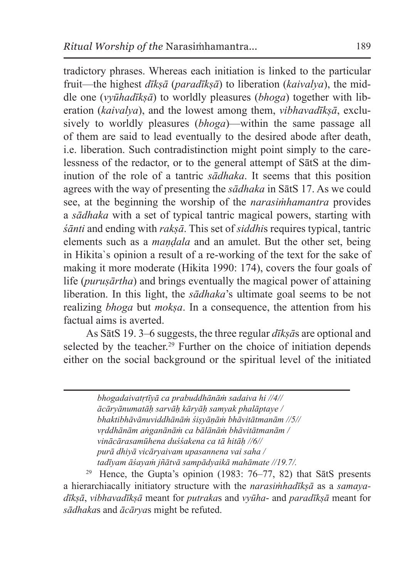tradictory phrases. Whereas each initiation is linked to the particular fruit—the highest *dīkṣā* (*paradīkṣā*) to liberation (*kaivalya*), the middle one (*vyūhadīkṣā*) to worldly pleasures (*bhoga*) together with liberation (*kaivalya*), and the lowest among them, *vibhavadīksā*, exclusively to worldly pleasures (*bhoga*)—within the same passage all of them are said to lead eventually to the desired abode after death, i.e. liberation. Such contradistinction might point simply to the carelessness of the redactor, or to the general attempt of SātS at the diminution of the role of a tantric *sādhaka*. It seems that this position agrees with the way of presenting the *sādhaka* in SātS 17. As we could see, at the beginning the worship of the *narasiṁhamantra* provides a *sādhaka* with a set of typical tantric magical powers, starting with *śānti* and ending with *rakṣā*. This set of *siddhi*s requires typical, tantric elements such as a *maṇḍala* and an amulet. But the other set, being in Hikita`s opinion a result of a re-working of the text for the sake of making it more moderate (Hikita 1990: 174), covers the four goals of life (*purusārtha*) and brings eventually the magical power of attaining liberation. In this light, the *sādhaka*'s ultimate goal seems to be not realizing *bhoga* but *mokṣa*. In a consequence, the attention from his factual aims is averted.

As SātS 19. 3–6 suggests, the three regular *dīkṣā*s are optional and selected by the teacher.<sup>29</sup> Further on the choice of initiation denends either on the social background or the spiritual level of the initiated

> *bhogadaivatṛtīyā ca prabuddhānāṁ sadaiva hi //4// ācāryānumatāḥ sarvāḥ kāryāḥ samyak phalāptaye / bhaktibhāvānuviddhānāṁ śiṣyāṇāṁ bhāvitātmanām //5// vṛddhānām aṅganānāṁ ca bālānāṁ bhāvitātmanām / vinācārasamūhena duśśakena ca tā hitāḥ //6// purā dhiyā vicāryaivam upasannena vai saha / tadīyam āśayaṁ jñātvā sampādyaikā mahāmate //19.7/.*

<sup>29</sup> Hence, the Gupta's opinion (1983:  $76-77$ , 82) that SatS presents a hierarchiacally initiatory structure with the *narasiṁhadīkṣā* as a *samayadīkṣā*, *vibhavadīkṣā* meant for *putraka*s and *vyūha*- and *paradīkṣā* meant for *sādhaka*s and *ācārya*s might be refuted.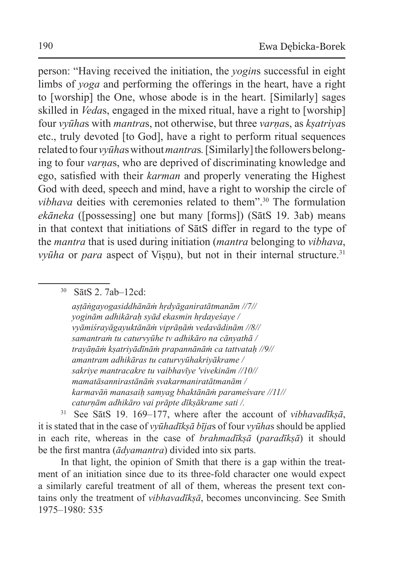person: "Having received the initiation, the *yogin*s successful in eight limbs of *yoga* and performing the offerings in the heart, have a right to [worship] the One, whose abode is in the heart. [Similarly] sages skilled in *Veda*s, engaged in the mixed ritual, have a right to [worship] four *vyūha*s with *mantra*s, not otherwise, but three *varṇa*s, as *kṣatriya*s etc., truly devoted [to God], have a right to perform ritual sequences related to four *vyūhas* without *mantras*. [Similarly] the followers belonging to four *varṇa*s, who are deprived of discriminating knowledge and ego, satisfied with their *karman* and properly venerating the Highest God with deed, speech and mind, have a right to worship the circle of *vibhava* deities with ceremonies related to them".<sup>30</sup> The formulation *ekāneka* ([possessing] one but many [forms]) (SātS 19. 3ab) means in that context that initiations of SātS differ in regard to the type of the *mantra* that is used during initiation (*mantra* belonging to *vibhava*, *vyūha* or *para* aspect of Visnu), but not in their internal structure.<sup>31</sup>

<sup>30</sup> SātS 2. 7ab–12cd:

*aṣṭāṅgayogasiddhānāṁ hṛdyāganiratātmanām //7// yoginām adhikāraḥ syād ekasmin hṛdayeśaye / vyāmiśrayāgayuktānāṁ viprāṇāṁ vedavādinām //8// samantraṁ tu caturvyūhe tv adhikāro na cānyathā / trayāṇāṁ kṣatriyādīnāṁ prapannānāṁ ca tattvataḥ //9// amantram adhikāras tu caturvyūhakriyākrame / sakriye mantracakre tu vaibhavīye 'vivekinām //10// mamatāsannirastānāṁ svakarmaniratātmanām / karmavāṅ manasaiḥ samyag bhaktānāṁ parameśvare //11// caturṇām adhikāro vai prāpte dīkṣākrame sati /.*

<sup>31</sup> See SātS 19. 169–177, where after the account of *vibhavadīkṣā*, it is stated that in the case of *vyūhadīkṣā bīja*s of four *vyūha*s should be applied in each rite, whereas in the case of *brahmadīkṣā* (*paradīkṣā*) it should be the first mantra (*ādyamantra*) divided into six parts.

In that light, the opinion of Smith that there is a gap within the treatment of an initiation since due to its three-fold character one would expect a similarly careful treatment of all of them, whereas the present text contains only the treatment of *vibhavadīkṣā*, becomes unconvincing. See Smith 1975–1980: 535*.*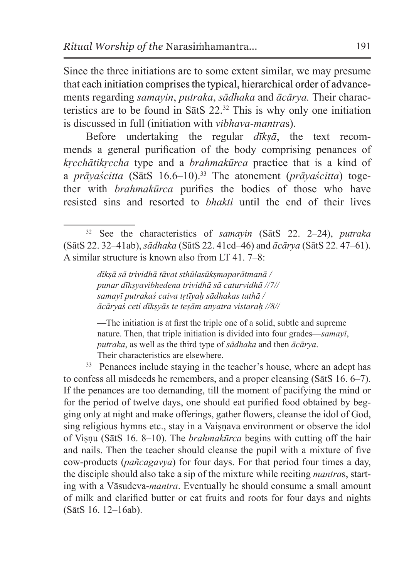Since the three initiations are to some extent similar, we may presume that each initiation comprises the typical, hierarchical order of advancements regarding *samayin*, *putraka*, *sādhaka* and *ācārya.* Their characteristics are to be found in SatS  $22.^{32}$  This is why only one initiation is discussed in full (initiation with *vibhava*-*mantra*s).

Before undertaking the regular *dīkṣā*, the text recommends a general purification of the body comprising penances of *kṛcchātikṛccha* type and a *brahmakūrca* practice that is a kind of a *prāyaścitta* (SātS 16.6–10).<sup>33</sup> The atonement (*prāyaścitta*) together with *brahmakūrca* purifies the bodies of those who have resisted sins and resorted to *bhakti* until the end of their lives

*dīkṣā sā trividhā tāvat sthūlasūkṣmaparātmanā / punar dīkṣyavibhedena trividhā sā caturvidhā //7// samayī putrakaś caiva tṛtīyaḥ sādhakas tathā / ācāryaś ceti dīkṣyās te teṣām anyatra vistaraḥ //8//*

—The initiation is at first the triple one of a solid, subtle and supreme nature. Then, that triple initiation is divided into four grades—*samayī*, *putraka*, as well as the third type of *sādhaka* and then *ācārya*. Their characteristics are elsewhere.

<sup>33</sup> Penances include staying in the teacher's house, where an adept has to confess all misdeeds he remembers, and a proper cleansing (SātS 16. 6–7). If the penances are too demanding, till the moment of pacifying the mind or for the period of twelve days, one should eat purified food obtained by begging only at night and make offerings, gather flowers, cleanse the idol of God, sing religious hymns etc., stay in a Vaiṣṇava environment or observe the idol of Viṣṇu (SātS 16. 8–10). The *brahmakūrca* begins with cutting off the hair and nails. Then the teacher should cleanse the pupil with a mixture of five cow-products (*pañcagavya*) for four days. For that period four times a day, the disciple should also take a sip of the mixture while reciting *mantra*s, starting with a Vāsudeva-*mantra*. Eventually he should consume a small amount of milk and clarified butter or eat fruits and roots for four days and nights (SātS 16. 12–16ab).

<sup>32</sup> See the characteristics of *samayin* (SātS 22. 2–24), *putraka*  (SātS 22. 32–41ab), *sādhaka* (SātS 22. 41cd–46) and *ācārya* (SātS 22. 47–61). A similar structure is known also from LT 41. 7–8: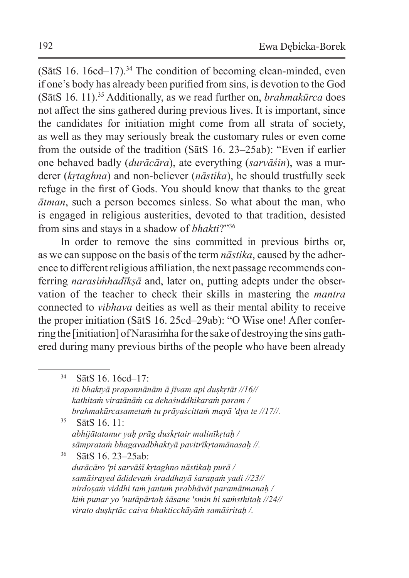$(SātS 16. 16cd-17).<sup>34</sup>$  The condition of becoming clean-minded, even if one's body has already been purified from sins, is devotion to the God (SātS 16. 11).<sup>35</sup> Additionally, as we read further on, *brahmakūrca* does not affect the sins gathered during previous lives. It is important, since the candidates for initiation might come from all strata of society, as well as they may seriously break the customary rules or even come from the outside of the tradition (SātS 16. 23–25ab): "Even if earlier one behaved badly (*durācāra*), ate everything (*sarvāśin*), was a murderer (*kṛtaghna*) and non-believer (*nāstika*), he should trustfully seek refuge in the first of Gods. You should know that thanks to the great *ātman*, such a person becomes sinless. So what about the man, who is engaged in religious austerities, devoted to that tradition, desisted from sins and stays in a shadow of *bhakti*?"<sup>36</sup>

In order to remove the sins committed in previous births or, as we can suppose on the basis of the term *nāstika*, caused by the adherence to different religious affiliation, the next passage recommends conferring *narasimhadīksā* and, later on, putting adepts under the observation of the teacher to check their skills in mastering the *mantra* connected to *vibhava* deities as well as their mental ability to receive the proper initiation (SātS 16. 25cd–29ab): "O Wise one! After conferring the [initiation] of Narasiṁha for the sake of destroying the sins gathered during many previous births of the people who have been already

<sup>35</sup> SātS 16. 11: *abhijātatanur yaḥ prāg duskṛtair malinīkṛtaḥ / sāmprataṁ bhagavadbhaktyā pavitrīkṛtamānasaḥ //.* 

<sup>36</sup> SātS 16. 23–25ab: *durācāro 'pi sarvāśī kṛtaghno nāstikaḥ purā / samāśrayed ādidevaṁ śraddhayā śaraṇaṁ yadi //23// nirdoṣaṁ viddhi taṁ jantuṁ prabhāvāt paramātmanaḥ / kiṁ punar yo 'nutāpārtaḥ śāsane 'smin hi saṁsthitaḥ //24// virato duṣkṛtāc caiva bhakticchāyāṁ samāśritaḥ /.* 

<sup>34</sup> SātS 16. 16cd–17: *iti bhaktyā prapannānām ā jīvam api duṣkṛtāt //16// kathitaṁ viratānāṁ ca dehaśuddhikaraṁ param / brahmakūrcasametaṁ tu prāyaścittaṁ mayā 'dya te //17//.*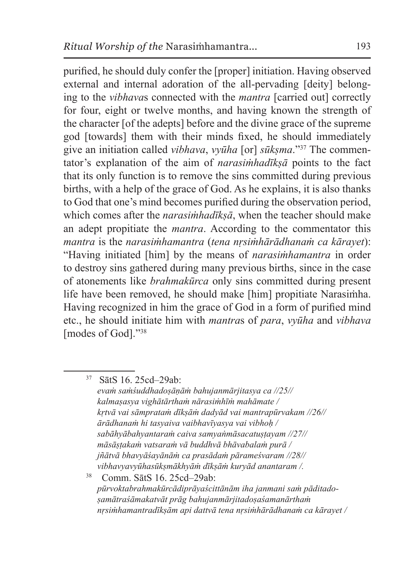purified, he should duly confer the [proper] initiation. Having observed external and internal adoration of the all-pervading [deity] belonging to the *vibhava*s connected with the *mantra* [carried out] correctly for four, eight or twelve months, and having known the strength of the character [of the adepts] before and the divine grace of the supreme god [towards] them with their minds fixed, he should immediately give an initiation called *vibhava*, *vyūha* [or] *sūkṣma*."37 The commentator's explanation of the aim of *narasiṁhadīkṣā* points to the fact that its only function is to remove the sins committed during previous births, with a help of the grace of God. As he explains, it is also thanks to God that one's mind becomes purified during the observation period, which comes after the *narasimhadīksā*, when the teacher should make an adept propitiate the *mantra*. According to the commentator this *mantra* is the *narasiṁhamantra* (*tena nṛsiṁhārādhanaṁ ca kārayet*): "Having initiated [him] by the means of *narasiṁhamantra* in order to destroy sins gathered during many previous births, since in the case of atonements like *brahmakūrca* only sins committed during present life have been removed, he should make [him] propitiate Narasiṁha. Having recognized in him the grace of God in a form of purified mind etc., he should initiate him with *mantra*s of *para*, *vyūha* and *vibhava* [modes of God]."<sup>38</sup>

<sup>38</sup> Comm. SātS 16. 25cd–29ab: *pūrvoktabrahmakūrcādiprāyaścittānām iha janmani saṁ pāditadoṣamātraśāmakatvāt prāg bahujanmārjitadoṣaśamanārthaṁ nṛsiṁhamantradīkṣām api dattvā tena nṛsiṁhārādhanaṁ ca kārayet /*

<sup>37</sup> SātS 16. 25cd–29ab: *evaṁ saṁśuddhadoṣāṇāṁ bahujanmārjitasya ca //25// kalmaṣasya vighātārthaṁ nārasiṁhīṁ mahāmate / kṛtvā vai sāmprataṁ dīkṣāṁ dadyād vai mantrapūrvakam //26// ārādhanaṁ hi tasyaiva vaibhavīyasya vai vibhoḥ / sabāhyābahyantaraṁ caiva samyaṅmāsacatuṣṭayam //27// māsāṣṭakaṁ vatsaraṁ vā buddhvā bhāvabalaṁ purā / jñātvā bhavyāśayānāṁ ca prasādaṁ pārameśvaram //28// vibhavyavyūhasūkṣmākhyāṁ dīkṣāṁ kuryād anantaram /.*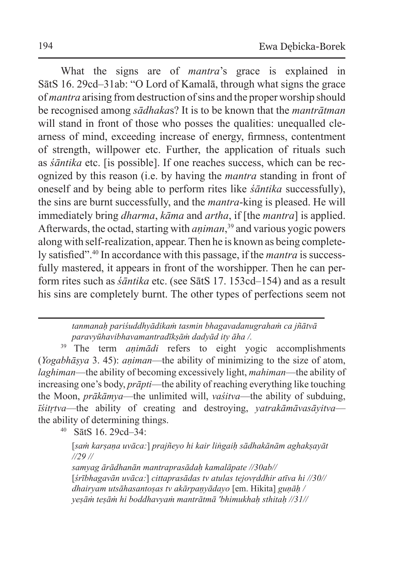What the signs are of *mantra*'s grace is explained in SātS 16. 29cd–31ab: "O Lord of Kamalā, through what signs the grace of *mantra* arising from destruction of sins and the proper worship should be recognised among *sādhaka*s? It is to be known that the *mantrātman* will stand in front of those who posses the qualities: unequalled clearness of mind, exceeding increase of energy, firmness, contentment of strength, willpower etc. Further, the application of rituals such as *śāntika* etc. [is possible]. If one reaches success, which can be recognized by this reason (i.e. by having the *mantra* standing in front of oneself and by being able to perform rites like *śāntika* successfully), the sins are burnt successfully, and the *mantra*-king is pleased. He will immediately bring *dharma*, *kāma* and *artha*, if [the *mantra*] is applied. Afterwards, the octad, starting with *aṇiman*, <sup>39</sup> and various yogic powers along with self-realization, appear. Then he is known as being completely satisfied".<sup>40</sup> In accordance with this passage, if the *mantra* is successfully mastered, it appears in front of the worshipper. Then he can perform rites such as *śāntika* etc. (see SātS 17. 153cd–154) and as a result his sins are completely burnt. The other types of perfections seem not

#### *tanmanaḥ pariśuddhyādikaṁ tasmin bhagavadanugrahaṁ ca jñātvā paravyūhavibhavamantradīkṣāṁ dadyād ity āha /.*

<sup>39</sup> The term *animādi* refers to eight yogic accomplishments (*Yogabhāṣya* 3. 45): *aṇiman*—the ability of minimizing to the size of atom, *laghiman*—the ability of becoming excessively light, *mahiman*—the ability of increasing one's body, *prāpti*—the ability of reaching everything like touching the Moon, *prākāmya*—the unlimited will, *vaśitva*—the ability of subduing, *īśitṛtva*—the ability of creating and destroying, *yatrakāmāvasāyitva* the ability of determining things.

<sup>40</sup> SātS 16. 29cd–34:

[*saṁ karṣaṇa uvāca:*] *prajñeyo hi kair liṅgaiḥ sādhakānām aghakṣayāt //29 //*

*samyag ārādhanān mantraprasādaḥ kamalāpate //30ab//* [*śrībhagavān uvāca:*] *cittaprasādas tv atulas tejovṛddhir atīva hi //30// dhairyam utsāhasantoṣas tv akārpaṇyādayo* [em. Hikita] *guṇāḥ / yeṣāṁ teṣāṁ hi boddhavyaṁ mantrātmā 'bhimukhaḥ sthitaḥ //31//*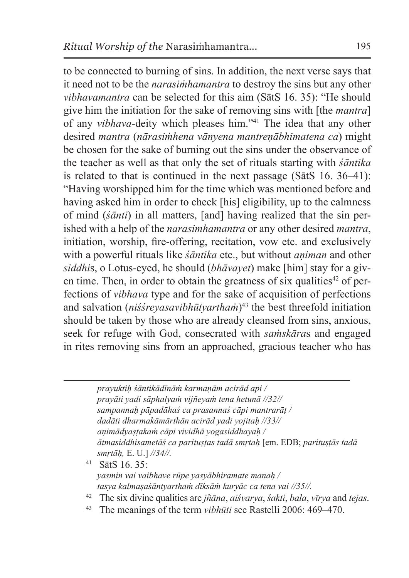to be connected to burning of sins. In addition, the next verse says that it need not to be the *narasiṁhamantra* to destroy the sins but any other *vibhavamantra* can be selected for this aim (SātS 16. 35): "He should give him the initiation for the sake of removing sins with [the *mantra*] of any *vibhava*-deity which pleases him."41 The idea that any other desired *mantra* (*nārasiṁhena vānyena mantreṇābhimatena ca*) might be chosen for the sake of burning out the sins under the observance of the teacher as well as that only the set of rituals starting with *śāntika* is related to that is continued in the next passage (SātS 16. 36–41): "Having worshipped him for the time which was mentioned before and having asked him in order to check [his] eligibility, up to the calmness of mind (*śānti*) in all matters, [and] having realized that the sin perished with a help of the *narasimhamantra* or any other desired *mantra*, initiation, worship, fire-offering, recitation, vow etc. and exclusively with a powerful rituals like *śāntika* etc., but without *aṇiman* and other *siddhi*s, o Lotus-eyed, he should (*bhāvayet*) make [him] stay for a given time. Then, in order to obtain the greatness of six qualities<sup>42</sup> of perfections of *vibhava* type and for the sake of acquisition of perfections and salvation (*niśśreyasavibhūtyartham*)<sup>43</sup> the best threefold initiation should be taken by those who are already cleansed from sins, anxious, seek for refuge with God, consecrated with *saṁskāra*s and engaged in rites removing sins from an approached, gracious teacher who has

> *prayuktiḥ śāntikādīnāṁ karmaṇām acirād api / prayāti yadi sāphalyaṁ vijñeyaṁ tena hetunā //32// sampannaḥ pāpadāhaś ca prasannaś cāpi mantrarāṭ / dadāti dharmakāmārthān acirād yadi yojitaḥ //33// aṇimādyaṣṭakaṁ cāpi vividhā yogasiddhayaḥ / ātmasiddhisametāś ca parituṣṭas tadā smṛtaḥ* [em. EDB; *parituṣṭās tadā smṛtāḥ,* E. U.] *//34//.*

- <sup>41</sup> SātS 16. 35: *yasmin vai vaibhave rūpe yasyābhiramate manaḥ / tasya kalmaṣaśāntyarthaṁ dīksāṁ kuryāc ca tena vai //35//.*
- <sup>42</sup> The six divine qualities are *jñāna*, *aiśvarya*, *śakti*, *bala*, *vīrya* and *tejas*.
- <sup>43</sup> The meanings of the term *vibhūti* see Rastelli 2006: 469–470.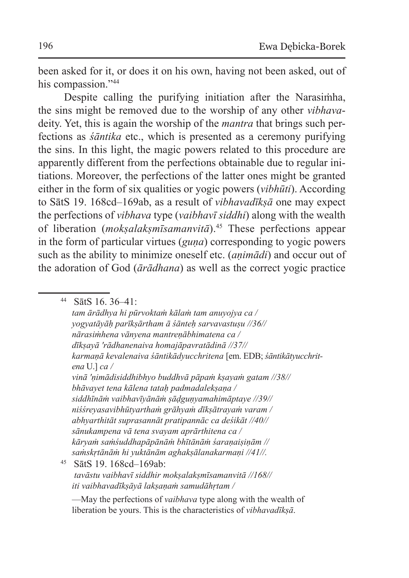been asked for it, or does it on his own, having not been asked, out of his compassion."<sup>44</sup>

Despite calling the purifying initiation after the Narasimha, the sins might be removed due to the worship of any other *vibhava*deity. Yet, this is again the worship of the *mantra* that brings such perfections as *śāntika* etc., which is presented as a ceremony purifying the sins. In this light, the magic powers related to this procedure are apparently different from the perfections obtainable due to regular initiations. Moreover, the perfections of the latter ones might be granted either in the form of six qualities or yogic powers (*vibhūti*). According to SātS 19. 168cd–169ab, as a result of *vibhavadīkṣā* one may expect the perfections of *vibhava* type (*vaibhavī siddhi*) along with the wealth of liberation (*mokṣalakṣmīsamanvitā*).<sup>45</sup> These perfections appear in the form of particular virtues (*guṇa*) corresponding to yogic powers such as the ability to minimize oneself etc. (*aṇimādi*) and occur out of the adoration of God (*ārādhana*) as well as the correct yogic practice

<sup>44</sup> SātS 16. 36–41: *tam ārādhya hi pūrvoktaṁ kālaṁ tam anuyojya ca / yogyatāyāḥ parīkṣārtham ā śānteḥ sarvavastuṣu //36// nārasiṁhena vānyena mantreṇābhimatena ca / dīkṣayā 'rādhanenaiva homajāpavratādinā //37// karmaṇā kevalenaiva śāntikādyucchritena* [em. EDB; *śāntikātyucchritena* U.] *ca / vinā 'ṇimādisiddhibhyo buddhvā pāpaṁ kṣayaṁ gatam //38// bhāvayet tena kālena tataḥ padmadalekṣaṇa / siddhīnāṁ vaibhavīyānāṁ ṣāḍguṇyamahimāptaye //39// niśśreyasavibhūtyarthaṁ grāhyaṁ dīkṣātrayaṁ varam / abhyarthitāt suprasannāt pratipannāc ca deśikāt //40// sānukampena vā tena svayam aprārthitena ca / kāryaṁ saṁśuddhapāpānāṁ bhītānāṁ śaraṇaiṣiṇām // saṁskṛtānāṁ hi yuktānām aghakṣālanakarmaṇi //41//.* <sup>45</sup> SātS 19. 168cd–169ab:  *tavāstu vaibhavī siddhir mokṣalakṣmīsamanvitā //168// iti vaibhavadīkṣāyā lakṣaṇaṁ samudāhṛtam /*

<sup>—</sup>May the perfections of *vaibhava* type along with the wealth of liberation be yours. This is the characteristics of *vibhavadīkṣā*.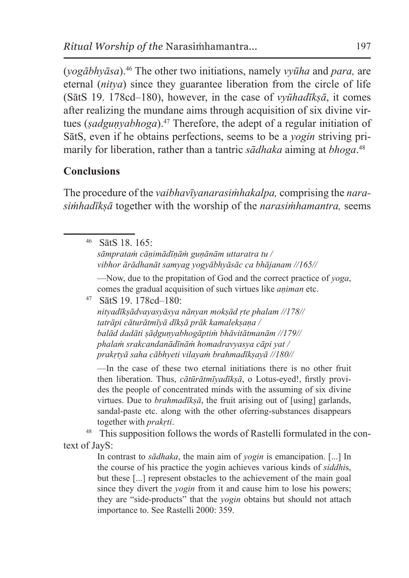(*yogābhyāsa*).<sup>46</sup> The other two initiations, namely *vyūha* and *para,* are eternal (*nitya*) since they guarantee liberation from the circle of life (SātS 19. 178cd–180), however, in the case of *vyūhadīkṣā*, it comes after realizing the mundane aims through acquisition of six divine virtues (*sadgunyabhoga*).<sup>47</sup> Therefore, the adept of a regular initiation of SātS, even if he obtains perfections, seems to be a *yogin* striving primarily for liberation, rather than a tantric *sādhaka* aiming at *bhoga*. 48

## **Conclusions**

The procedure of the *vaibhavīyanarasiṁhakalpa,* comprising the *narasiṁhadīkṣā* together with the worship of the *narasiṁhamantra,* seems

<sup>46</sup> SātS 18. 165: *sāmprataṁ cāṇimādīṇāṁ guṇānām uttaratra tu / vibhor ārādhanāt samyag yogyābhyāsāc ca bhājanam //165//*

—Now, due to the propitation of God and the correct practice of *yoga*, comes the gradual acquisition of such virtues like *aṇiman* etc.

<sup>47</sup> SātS 19. 178cd–180: *nityadīkṣādvayasyāsya nānyan mokṣād ṛte phalam //178// tatrāpi cāturātmīyā dīkṣā prāk kamalekṣaṇa / balād dadāti ṣāḍguṇyabhogāptiṁ bhāvitātmanām //179// phalaṁ srakcandanādīnāṁ homadravyasya cāpi yat / prakṛtyā saha cābhyeti vilayaṁ brahmadīkṣayā //180//*

—In the case of these two eternal initiations there is no other fruit then liberation. Thus, *cātūrātmīyadīkṣā*, o Lotus-eyed!, firstly provides the people of concentrated minds with the assuming of six divine virtues. Due to *brahmadīkṣā*, the fruit arising out of [using] garlands, sandal-paste etc. along with the other oferring-substances disappears together with *prakṛti*.

<sup>48</sup> This supposition follows the words of Rastelli formulated in the context of JayS:

In contrast to *sādhaka*, the main aim of *yogin* is emancipation. [...] In the course of his practice the yogin achieves various kinds of *siddhi*s, but these [...] represent obstacles to the achievement of the main goal since they divert the *yogin* from it and cause him to lose his powers; they are "side-products" that the *yogin* obtains but should not attach importance to. See Rastelli 2000: 359.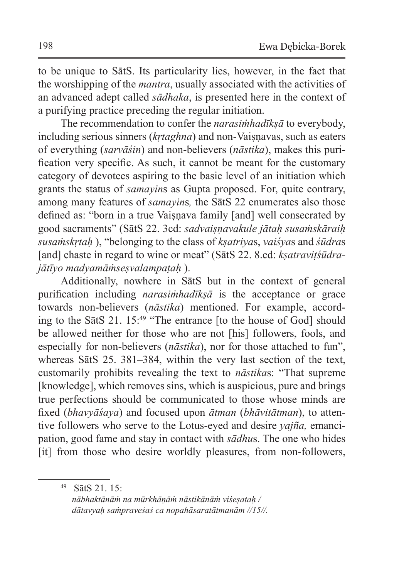to be unique to SātS. Its particularity lies, however, in the fact that the worshipping of the *mantra*, usually associated with the activities of an advanced adept called *sādhaka*, is presented here in the context of a purifying practice preceding the regular initiation.

The recommendation to confer the *narasiṁhadīkṣā* to everybody, including serious sinners (*krtaghna*) and non-Vaisnavas, such as eaters of everything (*sarvāśin*) and non-believers (*nāstika*), makes this purification very specific. As such, it cannot be meant for the customary category of devotees aspiring to the basic level of an initiation which grants the status of *samayin*s as Gupta proposed. For, quite contrary, among many features of *samayin*s*,* the SātS 22 enumerates also those defined as: "born in a true Vaiṣṇava family [and] well consecrated by good sacraments" (SātS 22. 3cd: *sadvaiṣṇavakule jātaḥ susaṁskāraiḥ susaṁskṛtaḥ* ), "belonging to the class of *kṣatriya*s, *vaiśya*s and *śūdra*s [and] chaste in regard to wine or meat" (SātS 22. 8.cd: *kṣatraviṭśūdrajātīyo madyamāṁseṣvalampaṭaḥ* ).

Additionally, nowhere in SātS but in the context of general purification including *narasiṁhadīkṣā* is the acceptance or grace towards non-believers (*nāstika*) mentioned. For example, according to the SātS 21. 15:<sup>49</sup> "The entrance [to the house of God] should be allowed neither for those who are not [his] followers, fools, and especially for non-believers (*nāstika*), nor for those attached to fun", whereas SātS 25. 381–384, within the very last section of the text, customarily prohibits revealing the text to *nāstika*s: "That supreme [knowledge], which removes sins, which is auspicious, pure and brings true perfections should be communicated to those whose minds are fixed (*bhavyāśaya*) and focused upon *ātman* (*bhāvitātman*), to attentive followers who serve to the Lotus-eyed and desire *yajña,* emancipation, good fame and stay in contact with *sādhu*s. The one who hides [it] from those who desire worldly pleasures, from non-followers,

<sup>49</sup> SātS 21. 15: *nābhaktānāṁ na mūrkhāṇāṁ nāstikānāṁ viśeṣataḥ / dātavyaḥ saṁpraveśaś ca nopahāsaratātmanām //15//.*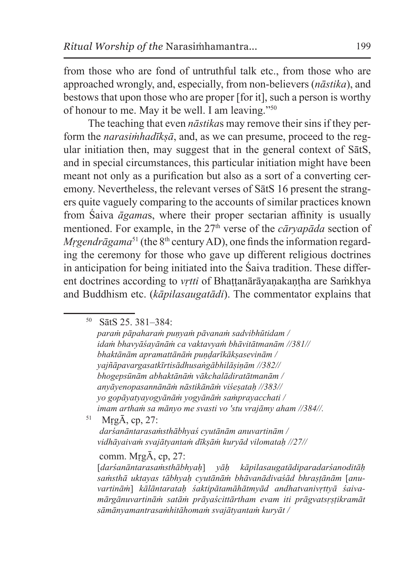from those who are fond of untruthful talk etc., from those who are approached wrongly, and, especially, from non-believers (*nāstika*), and bestows that upon those who are proper [for it], such a person is worthy of honour to me. May it be well. I am leaving."<sup>50</sup>

 The teaching that even *nāstika*s may remove their sins if they perform the *narasiṁhadīkṣā*, and, as we can presume, proceed to the regular initiation then, may suggest that in the general context of SātS, and in special circumstances, this particular initiation might have been meant not only as a purification but also as a sort of a converting ceremony. Nevertheless, the relevant verses of SātS 16 present the strangers quite vaguely comparing to the accounts of similar practices known from Śaiva *āgama*s, where their proper sectarian affinity is usually mentioned. For example, in the 27<sup>th</sup> verse of the *cāryapāda* section of *Mrgendrāgama*<sup>51</sup> (the 8<sup>th</sup> century AD), one finds the information regarding the ceremony for those who gave up different religious doctrines in anticipation for being initiated into the Śaiva tradition. These different doctrines according to *vṛtti* of Bhaṭṭanārāyaṇakaṇṭha are Saṁkhya and Buddhism etc. (*kāpilasaugatādi*). The commentator explains that

*paraṁ pāpaharaṁ puṇyaṁ pāvanaṁ sadvibhūtidam / idaṁ bhavyāśayānāṁ ca vaktavyaṁ bhāvitātmanām //381// bhaktānām apramattānāṁ puṇḍarīkākṣasevinām / yajñāpavargasatkīrtisādhusaṅgābhilāṣiṇām //382// bhogepsūnām abhaktānāṁ vākchalādiratātmanām / anyāyenopasannānāṁ nāstikānāṁ viśeṣataḥ //383// yo gopāyatyayogyānāṁ yogyānāṁ saṁprayacchati / imam arthaṁ sa mānyo me svasti vo 'stu vrajāmy aham //384//.* 

<sup>51</sup> MṛgĀ, cp, 27:

 *darśanāntarasaṁsthābhyaś cyutānām anuvartinām / vidhāyaivaṁ svajātyantaṁ dīkṣāṁ kuryād vilomataḥ //27//* 

### comm. MṛgĀ, cp, 27:

[*darśanāntarasaṁsthābhyaḥ*] *yāḥ kāpilasaugatādiparadarśanoditāḥ saṁsthā uktayas tābhyaḥ cyutānāṁ bhāvanādivaśād bhraṣṭānām* [*anuvartināṁ*] *kālāntarataḥ śaktipātamāhātmyād andhatvanivṛttyā śaivamārgānuvartināṁ satāṁ prāyaścittārtham evam iti prāgvatsṛṣṭikramāt sāmānyamantrasaṁhitāhomaṁ svajātyantaṁ kuryāt /*

<sup>50</sup> SātS 25. 381–384: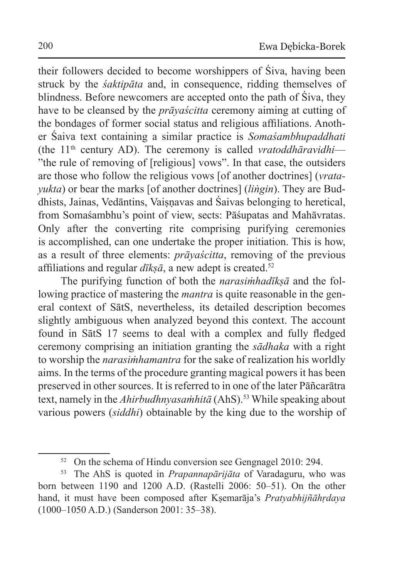their followers decided to become worshippers of Śiva, having been struck by the *śaktipāta* and, in consequence, ridding themselves of blindness. Before newcomers are accepted onto the path of Śiva, they have to be cleansed by the *prāyaścitta* ceremony aiming at cutting of the bondages of former social status and religious affiliations. Another Śaiva text containing a similar practice is *Somaśambhupaddhati* (the 11th century AD). The ceremony is called *vratoddhāravidhi*— "the rule of removing of [religious] vows". In that case, the outsiders are those who follow the religious vows [of another doctrines] (*vratayukta*) or bear the marks [of another doctrines] (*liṅgin*). They are Buddhists, Jainas, Vedāntins, Vaiṣṇavas and Śaivas belonging to heretical, from Somaśambhu's point of view, sects: Pāśupatas and Mahāvratas. Only after the converting rite comprising purifying ceremonies is accomplished, can one undertake the proper initiation. This is how, as a result of three elements: *prāyaścitta*, removing of the previous affiliations and regular  $d\bar{\imath}$ *ks* $\bar{a}$ , a new adept is created.<sup>52</sup>

The purifying function of both the *narasiṁhadīkṣā* and the following practice of mastering the *mantra* is quite reasonable in the general context of SātS, nevertheless, its detailed description becomes slightly ambiguous when analyzed beyond this context. The account found in SātS 17 seems to deal with a complex and fully fledged ceremony comprising an initiation granting the *sādhaka* with a right to worship the *narasiṁhamantra* for the sake of realization his worldly aims. In the terms of the procedure granting magical powers it has been preserved in other sources. It is referred to in one of the later Pāñcarātra text, namely in the *Ahirbudhnyasamhitā* (AhS).<sup>53</sup> While speaking about various powers (*siddhi*) obtainable by the king due to the worship of

<sup>&</sup>lt;sup>52</sup> On the schema of Hindu conversion see Gengnagel 2010: 294.

<sup>53</sup> The AhS is quoted in *Prapannapārijāta* of Varadaguru, who was born between 1190 and 1200 A.D. (Rastelli 2006: 50–51). On the other hand, it must have been composed after Kṣemarāja's *Pratyabhijñāhṛdaya*  (1000–1050 A.D.) (Sanderson 2001: 35–38).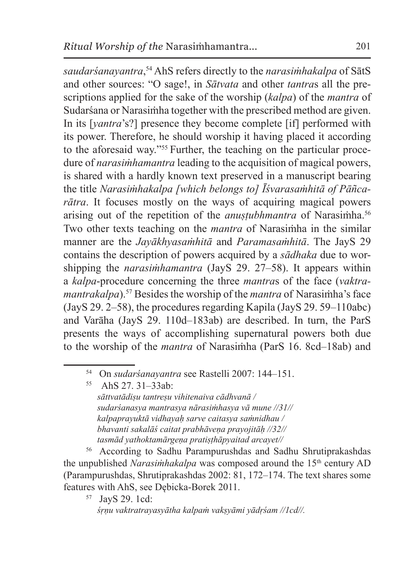*saudarśanayantra*, <sup>54</sup> AhS refers directly to the *narasiṁhakalpa* of SātS and other sources: "O sage!, in *Sātvata* and other *tantra*s all the prescriptions applied for the sake of the worship (*kalpa*) of the *mantra* of Sudarśana or Narasiṁha together with the prescribed method are given. In its [*yantra*'s?] presence they become complete [if] performed with its power. Therefore, he should worship it having placed it according to the aforesaid way."<sup>55</sup> Further, the teaching on the particular procedure of *narasiṁhamantra* leading to the acquisition of magical powers, is shared with a hardly known text preserved in a manuscript bearing the title *Narasiṁhakalpa [which belongs to] Ῑśvarasaṁhitā of Pāñcarātra*. It focuses mostly on the ways of acquiring magical powers arising out of the repetition of the *anustubhmantra* of Narasimha.<sup>56</sup> Two other texts teaching on the *mantra* of Narasiṁha in the similar manner are the *Jayākhyasaṁhitā* and *Paramasaṁhitā*. The JayS 29 contains the description of powers acquired by a *sādhaka* due to worshipping the *narasiṁhamantra* (JayS 29. 27–58). It appears within a *kalpa*-procedure concerning the three *mantra*s of the face (*vaktramantrakalpa*).<sup>57</sup> Besides the worship of the *mantra* of Narasiṁha's face (JayS 29. 2–58), the procedures regarding Kapila (JayS 29. 59–110abc) and Varāha (JayS 29. 110d–183ab) are described. In turn, the ParS presents the ways of accomplishing supernatural powers both due to the worship of the *mantra* of Narasiṁha (ParS 16. 8cd–18ab) and

<sup>55</sup> AhS 27. 31–33ab: *sāttvatādiṣu tantreṣu vihitenaiva cādhvanā / sudarśanasya mantrasya nārasiṁhasya vā mune //31// kalpaprayuktā vidhayaḥ sarve caitasya saṁnidhau / bhavanti sakalāś caitat prabhāveṇa prayojitāḥ //32// tasmād yathoktamārgeṇa pratiṣṭhāpyaitad arcayet//*

<sup>56</sup> According to Sadhu Parampurushdas and Sadhu Shrutiprakashdas the unpublished *Narasimhakalpa* was composed around the 15<sup>th</sup> century AD (Parampurushdas, Shrutiprakashdas 2002: 81, 172–174. The text shares some features with AhS, see Dębicka-Borek 2011.

<sup>57</sup> JayS 29. 1cd:

<sup>&</sup>lt;sup>54</sup> On *sudarśanayantra* see Rastelli 2007: 144–151.

*śṛṇu vaktratrayasyātha kalpaṁ vakṣyāmi yādṛśam //1cd//.*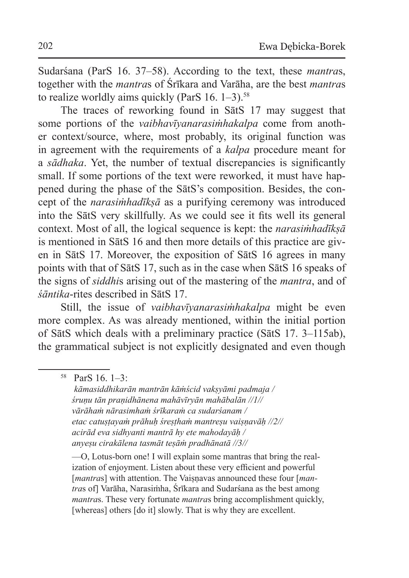Sudarśana (ParS 16. 37–58). According to the text, these *mantra*s, together with the *mantra*s of Śrīkara and Varāha, are the best *mantra*s to realize worldly aims quickly (ParS  $16. 1-3$ ).<sup>58</sup>

The traces of reworking found in SātS 17 may suggest that some portions of the *vaibhavīyanarasiṁhakalpa* come from another context/source, where, most probably, its original function was in agreement with the requirements of a *kalpa* procedure meant for a *sādhaka*. Yet, the number of textual discrepancies is significantly small. If some portions of the text were reworked, it must have happened during the phase of the SātS's composition. Besides, the concept of the *narasiṁhadīkṣā* as a purifying ceremony was introduced into the SātS very skillfully. As we could see it fits well its general context. Most of all, the logical sequence is kept: the *narasiṁhadīkṣā* is mentioned in SātS 16 and then more details of this practice are given in SātS 17. Moreover, the exposition of SātS 16 agrees in many points with that of SātS 17, such as in the case when SātS 16 speaks of the signs of *siddhi*s arising out of the mastering of the *mantra*, and of *śāntika*-rites described in SātS 17.

Still, the issue of *vaibhavīyanarasiṁhakalpa* might be even more complex. As was already mentioned, within the initial portion of SātS which deals with a preliminary practice (SātS 17. 3–115ab), the grammatical subject is not explicitly designated and even though

 *kāmasiddhikarān mantrān kāṁścid vakṣyāmi padmaja / śruṇu tān praṇidhānena mahāvīryān mahābalān //1// vārāhaṁ nārasimhaṁ śrīkaraṁ ca sudarśanam / etac catuṣṭayaṁ prāhuḥ śreṣṭhaṁ mantreṣu vaiṣṇavāḥ //2// acirād eva sidhyanti mantrā hy ete mahodayāḥ / anyeṣu cirakālena tasmāt teṣāṁ pradhānatā //3//*

—O, Lotus-born one! I will explain some mantras that bring the realization of enjoyment. Listen about these very efficient and powerful [*mantras*] with attention. The Vaisnavas announced these four [*mantra*s of] Varāha, Narasiṁha, Śrīkara and Sudarśana as the best among *mantra*s. These very fortunate *mantra*s bring accomplishment quickly, [whereas] others [do it] slowly. That is why they are excellent.

<sup>58</sup> ParS 16. 1–3: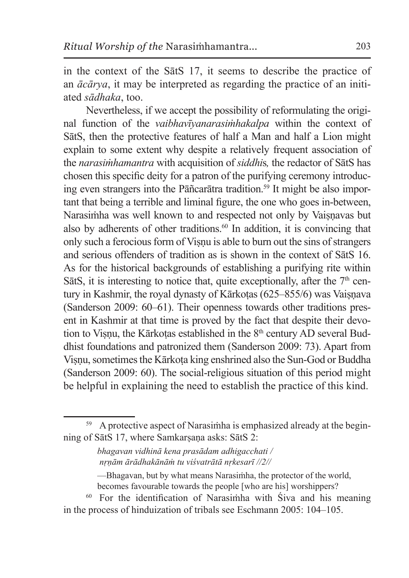in the context of the SātS 17, it seems to describe the practice of an *ācārya*, it may be interpreted as regarding the practice of an initiated *sādhaka*, too.

Nevertheless, if we accept the possibility of reformulating the original function of the *vaibhavīyanarasiṁhakalpa* within the context of SātS, then the protective features of half a Man and half a Lion might explain to some extent why despite a relatively frequent association of the *narasiṁhamantra* with acquisition of *siddhi*s*,* the redactor of SātS has chosen this specific deity for a patron of the purifying ceremony introducing even strangers into the Pāñcarātra tradition.<sup>59</sup> It might be also important that being a terrible and liminal figure, the one who goes in-between, Narasiṁha was well known to and respected not only by Vaiṣṇavas but also by adherents of other traditions. $60$  In addition, it is convincing that only such a ferocious form of Viṣṇu is able to burn out the sins of strangers and serious offenders of tradition as is shown in the context of SātS 16. As for the historical backgrounds of establishing a purifying rite within SātS, it is interesting to notice that, quite exceptionally, after the  $7<sup>th</sup>$  century in Kashmir, the royal dynasty of Kārkotas (625–855/6) was Vaisnava (Sanderson 2009: 60–61). Their openness towards other traditions present in Kashmir at that time is proved by the fact that despite their devotion to Visnu, the Kārkotas established in the 8<sup>th</sup> century AD several Buddhist foundations and patronized them (Sanderson 2009: 73). Apart from Viṣṇu, sometimes the Kārkoṭa king enshrined also the Sun-God or Buddha (Sanderson 2009: 60). The social-religious situation of this period might be helpful in explaining the need to establish the practice of this kind.

<sup>&</sup>lt;sup>59</sup> A protective aspect of Narasimha is emphasized already at the beginning of SātS 17, where Samkarṣaṇa asks: SātS 2:

*bhagavan vidhinā kena prasādam adhigacchati / nṛṇām ārādhakānāṁ tu viśvatrātā nṛkesarī //2//*

<sup>—</sup>Bhagavan, but by what means Narasiṁha, the protector of the world, becomes favourable towards the people [who are his] worshippers?

<sup>60</sup> For the identification of Narasiṁha with Śiva and his meaning in the process of hinduization of tribals see Eschmann 2005: 104–105.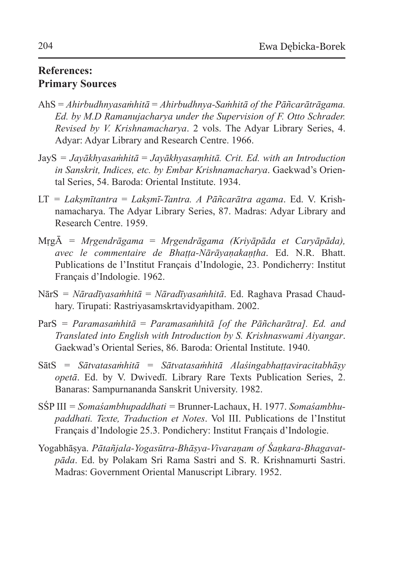### **References: Primary Sources**

- AhS = *Ahirbudhnyasaṁhitā* = *Ahirbudhnya-Saṁhitā of the Pāñcarātrāgama. Ed. by M.D Ramanujacharya under the Supervision of F. Otto Schrader. Revised by V. Krishnamacharya*. 2 vols. The Adyar Library Series, 4. Adyar: Adyar Library and Research Centre. 1966.
- JayS *= Jayākhyasaṁhitā* = *Jayākhyasaṃhitā. Crit. Ed. with an Introduction in Sanskrit, Indices, etc. by Embar Krishnamacharya*. Gaekwad's Oriental Series, 54. Baroda: Oriental Institute. 1934.
- LT *= Lakṣmītantra* = *Lakṣmī-Tantra. A Pāñcarātra agama*. Ed. V. Krishnamacharya. The Adyar Library Series, 87. Madras: Adyar Library and Research Centre. 1959.
- MṛgĀ *= Mṛgendrāgama* = *Mṛgendrāgama (Kriyāpāda et Caryāpāda), avec le commentaire de Bhaṭṭa-Nārāyaṇakaṇṭha*. Ed. N.R. Bhatt. Publications de l'Institut Français d'Indologie, 23. Pondicherry: Institut Français d'Indologie. 1962.
- NārS *= Nāradīyasaṁhitā* = *Nāradīyasaṁhitā*. Ed. Raghava Prasad Chaudhary. Tirupati: Rastriyasamskrtavidyapitham. 2002.
- ParS *= Paramasaṁhitā* = *Paramasaṁhitā [of the Pāñcharātra]. Ed. and Translated into English with Introduction by S. Krishnaswami Aiyangar*. Gaekwad's Oriental Series, 86. Baroda: Oriental Institute. 1940.
- SātS = *Sātvatasaṁhitā* = *Sātvatasaṁhitā Alaśingabhaṭṭaviracitabhāṣy opetā*. Ed. by V. Dwivedī. Library Rare Texts Publication Series, 2. Banaras: Sampurnananda Sanskrit University. 1982.
- SŚP III *= Somaśambhupaddhati =* Brunner-Lachaux, H. 1977. *Somaśambhupaddhati. Texte, Traduction et Notes*. Vol III. Publications de l'Institut Français d'Indologie 25.3. Pondichery: Institut Français d'Indologie.
- Yogabhāṣya. *Pātañjala-Yogasūtra-Bhāṣya-Vivaraṇam of Śaṇkara-Bhagavatpāda*. Ed. by Polakam Sri Rama Sastri and S. R. Krishnamurti Sastri. Madras: Government Oriental Manuscript Library. 1952.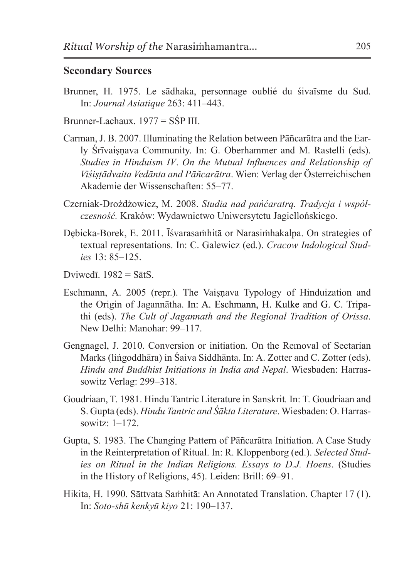#### **Secondary Sources**

- Brunner, H. 1975. Le sādhaka, personnage oublié du śivaïsme du Sud. In: *Journal Asiatique* 263: 411–443.
- Brunner-Lachaux. 1977 = SŚP III.
- Carman, J. B. 2007. Illuminating the Relation between Pāñcarātra and the Early Śrīvaisnava Community. In: G. Oberhammer and M. Rastelli (eds). *Studies in Hinduism IV*. *On the Mutual Influences and Relationship of Viśiṣṭādvaita Vedānta and Pāñcarātra*. Wien: Verlag der Österreichischen Akademie der Wissenschaften: 55–77.
- Czerniak-Drożdżowicz, M. 2008. *Studia nad pańćaratrą. Tradycja i współczesność.* Kraków: Wydawnictwo Uniwersytetu Jagiellońskiego.
- Dębicka-Borek, E. 2011. Īśvarasamhitā or Narasimhakalpa. On strategies of textual representations. In: C. Galewicz (ed.). *Cracow Indological Studies* 13: 85–125.
- Dviwedī.  $1982 = SātS$ .
- Eschmann, A. 2005 (repr.). The Vaisnava Typology of Hinduization and the Origin of Jagannātha. In: A. Eschmann, H. Kulke and G. C. Tripathi (eds). *The Cult of Jagannath and the Regional Tradition of Orissa*. New Delhi: Manohar: 99–117.
- Gengnagel, J. 2010. Conversion or initiation. On the Removal of Sectarian Marks (liṅgoddhāra) in Śaiva Siddhānta. In: A. Zotter and C. Zotter (eds). *Hindu and Buddhist Initiations in India and Nepal*. Wiesbaden: Harrassowitz Verlag: 299–318.
- Goudriaan, T. 1981. Hindu Tantric Literature in Sanskrit*.* In: T. Goudriaan and S. Gupta (eds). *Hindu Tantric and Śākta Literature*. Wiesbaden: O. Harrassowitz: 1–172.
- Gupta, S. 1983. The Changing Pattern of Pāñcarātra Initiation. A Case Study in the Reinterpretation of Ritual. In: R. Kloppenborg (ed.). *Selected Studies on Ritual in the Indian Religions. Essays to D.J. Hoens*. (Studies in the History of Religions, 45). Leiden: Brill: 69–91.
- Hikita, H. 1990. Sāttvata Saṁhitā: An Annotated Translation. Chapter 17 (1). In: *Soto-shū kenkyū kiyo* 21: 190–137.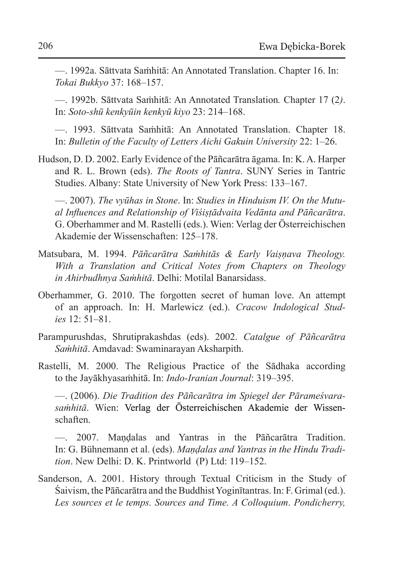—. 1992a. Sāttvata Saṁhitā: An Annotated Translation. Chapter 16. In: *Tokai Bukkyo* 37: 168–157.

—. 1992b. Sāttvata Saṁhitā: An Annotated Translation*.* Chapter 17 (2*)*. In: *Soto-shū kenkyūin kenkyū kiyo* 23: 214–168.

—. 1993. Sāttvata Saṁhitā: An Annotated Translation. Chapter 18. In: *Bulletin of the Faculty of Letters Aichi Gakuin University* 22: 1–26.

Hudson, D. D. 2002. Early Evidence of the Pāñcarātra āgama. In: K.A. Harper and R. L. Brown (eds). *The Roots of Tantra*. SUNY Series in Tantric Studies. Albany: State University of New York Press: 133–167.

—. 2007). *The vyūhas in Stone*. In: *Studies in Hinduism IV. On the Mutual Influences and Relationship of Viśiṣṭādvaita Vedānta and Pāñcarātra*. G. Oberhammer and M. Rastelli (eds.). Wien: Verlag der Österreichischen Akademie der Wissenschaften: 125–178.

- Matsubara, M. 1994. *Pāñcarātra Saṁhitās & Early Vaiṣṇava Theology. With a Translation and Critical Notes from Chapters on Theology in Ahirbudhnya Saṁhitā*. Delhi: Motilal Banarsidass.
- Oberhammer, G. 2010. The forgotten secret of human love. An attempt of an approach. In: H. Marlewicz (ed.). *Cracow Indological Studies* 12: 51–81.
- Parampurushdas, Shrutiprakashdas (eds). 2002. *Catalgue of Pāñcarātra Saṁhitā*. Amdavad: Swaminarayan Aksharpith.
- Rastelli, M. 2000. The Religious Practice of the Sādhaka according to the Jayākhyasaṁhitā. In: *Indo-Iranian Journal*: 319–395.

—. (2006). *Die Tradition des Pāñcarātra im Spiegel der Pārameśvarasaṁhitā*. Wien: Verlag der Österreichischen Akademie der Wissenschaften.

—. 2007. Maṇḍalas and Yantras in the Pāñcarātra Tradition. In: G. Bühnemann et al. (eds). *Maṇḍalas and Yantras in the Hindu Tradition*. New Delhi: D. K. Printworld (P) Ltd: 119–152.

Sanderson, A. 2001. History through Textual Criticism in the Study of Śaivism, the Pāñcarātra and theBuddhist Yoginītantras. In: F. Grimal (ed.). *Les sources et le temps. Sources and Time. A Colloquium*. *Pondicherry,*